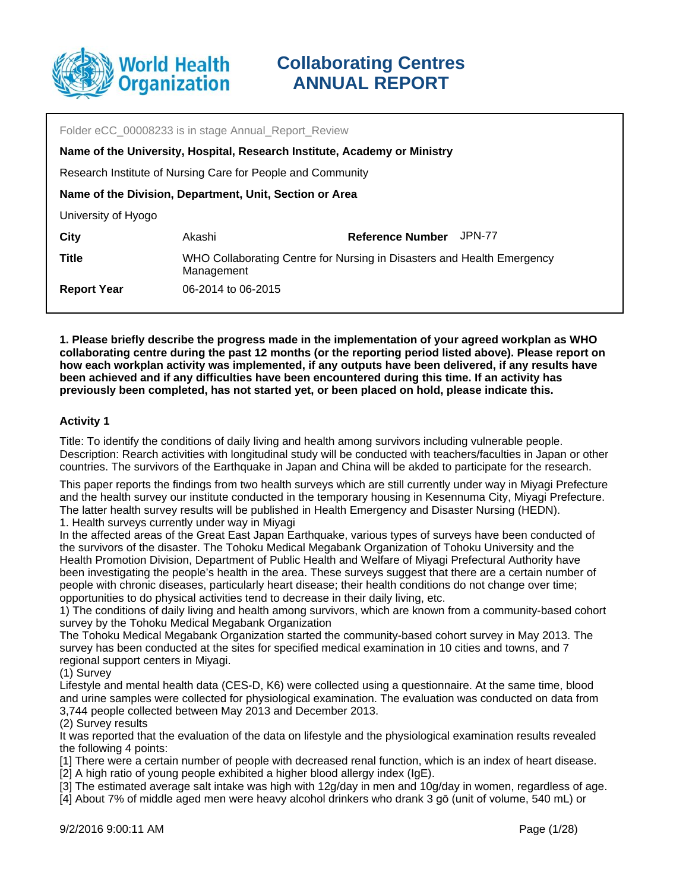

| Folder eCC_00008233 is in stage Annual_Report_Review                      |                                                                                      |                         |        |
|---------------------------------------------------------------------------|--------------------------------------------------------------------------------------|-------------------------|--------|
| Name of the University, Hospital, Research Institute, Academy or Ministry |                                                                                      |                         |        |
| Research Institute of Nursing Care for People and Community               |                                                                                      |                         |        |
| Name of the Division, Department, Unit, Section or Area                   |                                                                                      |                         |        |
| University of Hyogo                                                       |                                                                                      |                         |        |
| <b>City</b>                                                               | Akashi                                                                               | <b>Reference Number</b> | JPN-77 |
| <b>Title</b>                                                              | WHO Collaborating Centre for Nursing in Disasters and Health Emergency<br>Management |                         |        |
| <b>Report Year</b>                                                        | 06-2014 to 06-2015                                                                   |                         |        |

**1. Please briefly describe the progress made in the implementation of your agreed workplan as WHO collaborating centre during the past 12 months (or the reporting period listed above). Please report on how each workplan activity was implemented, if any outputs have been delivered, if any results have been achieved and if any difficulties have been encountered during this time. If an activity has previously been completed, has not started yet, or been placed on hold, please indicate this.**

### **Activity 1**

Title: To identify the conditions of daily living and health among survivors including vulnerable people. Description: Rearch activities with longitudinal study will be conducted with teachers/faculties in Japan or other countries. The survivors of the Earthquake in Japan and China will be akded to participate for the research.

This paper reports the findings from two health surveys which are still currently under way in Miyagi Prefecture and the health survey our institute conducted in the temporary housing in Kesennuma City, Miyagi Prefecture. The latter health survey results will be published in Health Emergency and Disaster Nursing (HEDN). 1. Health surveys currently under way in Miyagi

In the affected areas of the Great East Japan Earthquake, various types of surveys have been conducted of the survivors of the disaster. The Tohoku Medical Megabank Organization of Tohoku University and the Health Promotion Division, Department of Public Health and Welfare of Miyagi Prefectural Authority have been investigating the people's health in the area. These surveys suggest that there are a certain number of people with chronic diseases, particularly heart disease; their health conditions do not change over time; opportunities to do physical activities tend to decrease in their daily living, etc.

1) The conditions of daily living and health among survivors, which are known from a community-based cohort survey by the Tohoku Medical Megabank Organization

The Tohoku Medical Megabank Organization started the community-based cohort survey in May 2013. The survey has been conducted at the sites for specified medical examination in 10 cities and towns, and 7 regional support centers in Miyagi.

(1) Survey

Lifestyle and mental health data (CES-D, K6) were collected using a questionnaire. At the same time, blood and urine samples were collected for physiological examination. The evaluation was conducted on data from 3,744 people collected between May 2013 and December 2013.

(2) Survey results

It was reported that the evaluation of the data on lifestyle and the physiological examination results revealed the following 4 points:

[1] There were a certain number of people with decreased renal function, which is an index of heart disease.

[2] A high ratio of young people exhibited a higher blood allergy index (IgE).

[3] The estimated average salt intake was high with 12g/day in men and 10g/day in women, regardless of age.

[4] About 7% of middle aged men were heavy alcohol drinkers who drank 3 gō (unit of volume, 540 mL) or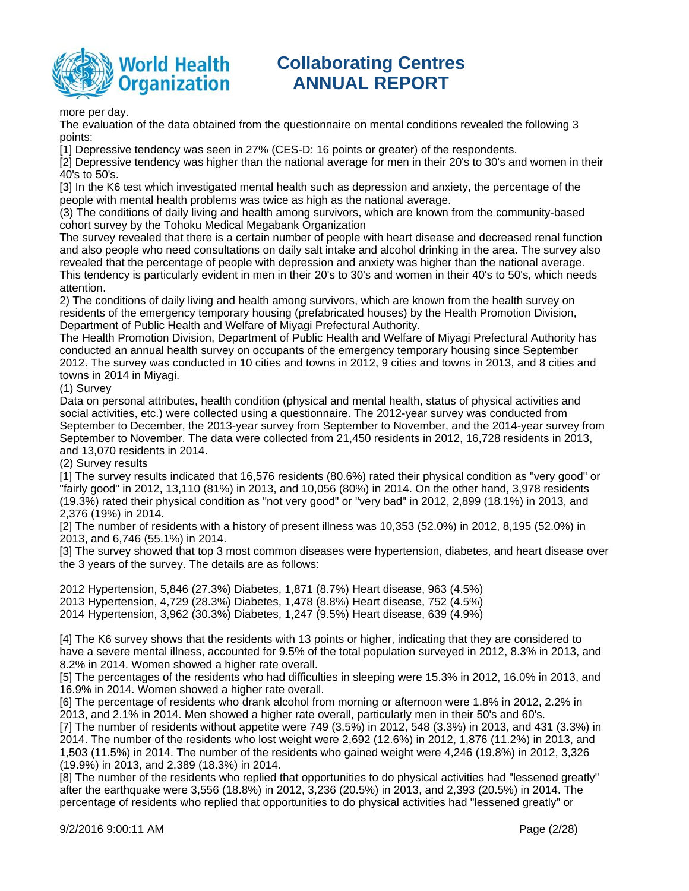

### more per day.

The evaluation of the data obtained from the questionnaire on mental conditions revealed the following 3 points:

[1] Depressive tendency was seen in 27% (CES-D: 16 points or greater) of the respondents.

[2] Depressive tendency was higher than the national average for men in their 20's to 30's and women in their 40's to 50's.

[3] In the K6 test which investigated mental health such as depression and anxiety, the percentage of the people with mental health problems was twice as high as the national average.

(3) The conditions of daily living and health among survivors, which are known from the community-based cohort survey by the Tohoku Medical Megabank Organization

The survey revealed that there is a certain number of people with heart disease and decreased renal function and also people who need consultations on daily salt intake and alcohol drinking in the area. The survey also revealed that the percentage of people with depression and anxiety was higher than the national average. This tendency is particularly evident in men in their 20's to 30's and women in their 40's to 50's, which needs attention.

2) The conditions of daily living and health among survivors, which are known from the health survey on residents of the emergency temporary housing (prefabricated houses) by the Health Promotion Division, Department of Public Health and Welfare of Miyagi Prefectural Authority.

The Health Promotion Division, Department of Public Health and Welfare of Miyagi Prefectural Authority has conducted an annual health survey on occupants of the emergency temporary housing since September 2012. The survey was conducted in 10 cities and towns in 2012, 9 cities and towns in 2013, and 8 cities and towns in 2014 in Miyagi.

(1) Survey

Data on personal attributes, health condition (physical and mental health, status of physical activities and social activities, etc.) were collected using a questionnaire. The 2012-year survey was conducted from September to December, the 2013-year survey from September to November, and the 2014-year survey from September to November. The data were collected from 21,450 residents in 2012, 16,728 residents in 2013, and 13,070 residents in 2014.

(2) Survey results

[1] The survey results indicated that 16,576 residents (80.6%) rated their physical condition as "very good" or "fairly good" in 2012, 13,110 (81%) in 2013, and 10,056 (80%) in 2014. On the other hand, 3,978 residents (19.3%) rated their physical condition as "not very good" or "very bad" in 2012, 2,899 (18.1%) in 2013, and 2,376 (19%) in 2014.

[2] The number of residents with a history of present illness was 10,353 (52.0%) in 2012, 8,195 (52.0%) in 2013, and 6,746 (55.1%) in 2014.

[3] The survey showed that top 3 most common diseases were hypertension, diabetes, and heart disease over the 3 years of the survey. The details are as follows:

2012 Hypertension, 5,846 (27.3%) Diabetes, 1,871 (8.7%) Heart disease, 963 (4.5%) 2013 Hypertension, 4,729 (28.3%) Diabetes, 1,478 (8.8%) Heart disease, 752 (4.5%) 2014 Hypertension, 3,962 (30.3%) Diabetes, 1,247 (9.5%) Heart disease, 639 (4.9%)

[4] The K6 survey shows that the residents with 13 points or higher, indicating that they are considered to have a severe mental illness, accounted for 9.5% of the total population surveyed in 2012, 8.3% in 2013, and 8.2% in 2014. Women showed a higher rate overall.

[5] The percentages of the residents who had difficulties in sleeping were 15.3% in 2012, 16.0% in 2013, and 16.9% in 2014. Women showed a higher rate overall.

[6] The percentage of residents who drank alcohol from morning or afternoon were 1.8% in 2012, 2.2% in 2013, and 2.1% in 2014. Men showed a higher rate overall, particularly men in their 50's and 60's. [7] The number of residents without appetite were 749 (3.5%) in 2012, 548 (3.3%) in 2013, and 431 (3.3%) in 2014. The number of the residents who lost weight were 2,692 (12.6%) in 2012, 1,876 (11.2%) in 2013, and 1,503 (11.5%) in 2014. The number of the residents who gained weight were 4,246 (19.8%) in 2012, 3,326 (19.9%) in 2013, and 2,389 (18.3%) in 2014.

[8] The number of the residents who replied that opportunities to do physical activities had "lessened greatly" after the earthquake were 3,556 (18.8%) in 2012, 3,236 (20.5%) in 2013, and 2,393 (20.5%) in 2014. The percentage of residents who replied that opportunities to do physical activities had "lessened greatly" or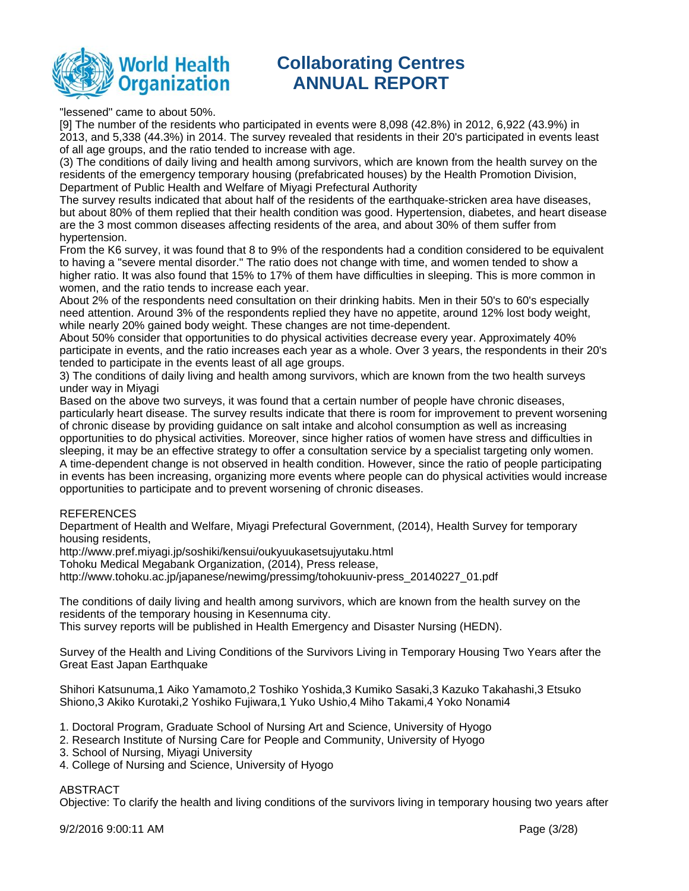

"lessened" came to about 50%.

[9] The number of the residents who participated in events were 8,098 (42.8%) in 2012, 6,922 (43.9%) in 2013, and 5,338 (44.3%) in 2014. The survey revealed that residents in their 20's participated in events least of all age groups, and the ratio tended to increase with age.

(3) The conditions of daily living and health among survivors, which are known from the health survey on the residents of the emergency temporary housing (prefabricated houses) by the Health Promotion Division, Department of Public Health and Welfare of Miyagi Prefectural Authority

The survey results indicated that about half of the residents of the earthquake-stricken area have diseases, but about 80% of them replied that their health condition was good. Hypertension, diabetes, and heart disease are the 3 most common diseases affecting residents of the area, and about 30% of them suffer from hypertension.

From the K6 survey, it was found that 8 to 9% of the respondents had a condition considered to be equivalent to having a "severe mental disorder." The ratio does not change with time, and women tended to show a higher ratio. It was also found that 15% to 17% of them have difficulties in sleeping. This is more common in women, and the ratio tends to increase each year.

About 2% of the respondents need consultation on their drinking habits. Men in their 50's to 60's especially need attention. Around 3% of the respondents replied they have no appetite, around 12% lost body weight, while nearly 20% gained body weight. These changes are not time-dependent.

About 50% consider that opportunities to do physical activities decrease every year. Approximately 40% participate in events, and the ratio increases each year as a whole. Over 3 years, the respondents in their 20's tended to participate in the events least of all age groups.

3) The conditions of daily living and health among survivors, which are known from the two health surveys under way in Miyagi

Based on the above two surveys, it was found that a certain number of people have chronic diseases, particularly heart disease. The survey results indicate that there is room for improvement to prevent worsening of chronic disease by providing guidance on salt intake and alcohol consumption as well as increasing opportunities to do physical activities. Moreover, since higher ratios of women have stress and difficulties in sleeping, it may be an effective strategy to offer a consultation service by a specialist targeting only women. A time-dependent change is not observed in health condition. However, since the ratio of people participating in events has been increasing, organizing more events where people can do physical activities would increase opportunities to participate and to prevent worsening of chronic diseases.

### REFERENCES

Department of Health and Welfare, Miyagi Prefectural Government, (2014), Health Survey for temporary housing residents,

http://www.pref.miyagi.jp/soshiki/kensui/oukyuukasetsujyutaku.html

Tohoku Medical Megabank Organization, (2014), Press release,

http://www.tohoku.ac.jp/japanese/newimg/pressimg/tohokuuniv-press\_20140227\_01.pdf

The conditions of daily living and health among survivors, which are known from the health survey on the residents of the temporary housing in Kesennuma city.

This survey reports will be published in Health Emergency and Disaster Nursing (HEDN).

Survey of the Health and Living Conditions of the Survivors Living in Temporary Housing Two Years after the Great East Japan Earthquake

Shihori Katsunuma,1 Aiko Yamamoto,2 Toshiko Yoshida,3 Kumiko Sasaki,3 Kazuko Takahashi,3 Etsuko Shiono,3 Akiko Kurotaki,2 Yoshiko Fujiwara,1 Yuko Ushio,4 Miho Takami,4 Yoko Nonami4

- 1. Doctoral Program, Graduate School of Nursing Art and Science, University of Hyogo
- 2. Research Institute of Nursing Care for People and Community, University of Hyogo
- 3. School of Nursing, Miyagi University
- 4. College of Nursing and Science, University of Hyogo

### ABSTRACT

Objective: To clarify the health and living conditions of the survivors living in temporary housing two years after

9/2/2016 9:00:11 AM Page (3/28)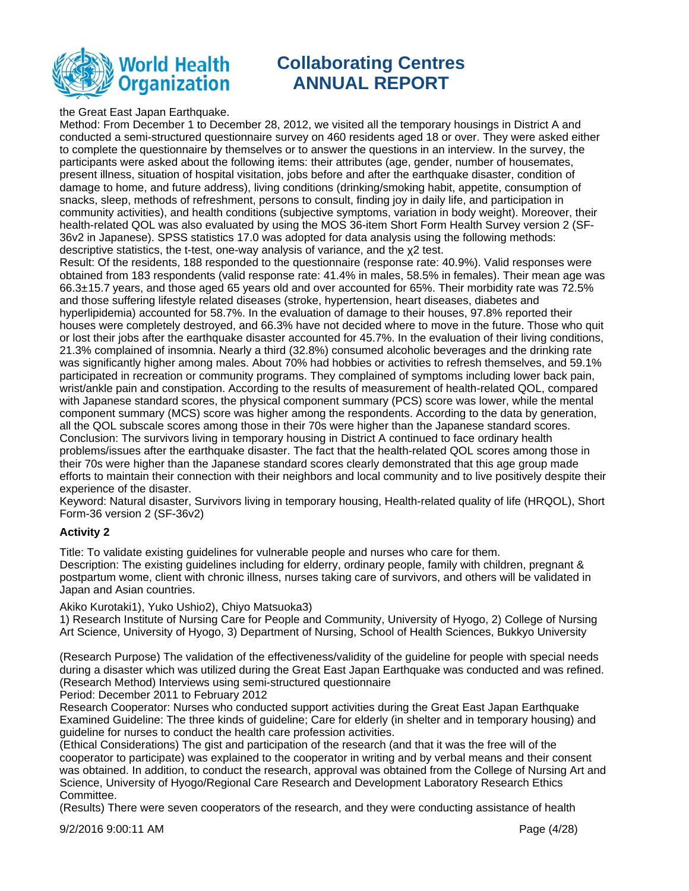

the Great East Japan Earthquake.

Method: From December 1 to December 28, 2012, we visited all the temporary housings in District A and conducted a semi-structured questionnaire survey on 460 residents aged 18 or over. They were asked either to complete the questionnaire by themselves or to answer the questions in an interview. In the survey, the participants were asked about the following items: their attributes (age, gender, number of housemates, present illness, situation of hospital visitation, jobs before and after the earthquake disaster, condition of damage to home, and future address), living conditions (drinking/smoking habit, appetite, consumption of snacks, sleep, methods of refreshment, persons to consult, finding joy in daily life, and participation in community activities), and health conditions (subjective symptoms, variation in body weight). Moreover, their health-related QOL was also evaluated by using the MOS 36-item Short Form Health Survey version 2 (SF-36v2 in Japanese). SPSS statistics 17.0 was adopted for data analysis using the following methods: descriptive statistics, the t-test, one-way analysis of variance, and the x2 test.

Result: Of the residents, 188 responded to the questionnaire (response rate: 40.9%). Valid responses were obtained from 183 respondents (valid response rate: 41.4% in males, 58.5% in females). Their mean age was 66.3±15.7 years, and those aged 65 years old and over accounted for 65%. Their morbidity rate was 72.5% and those suffering lifestyle related diseases (stroke, hypertension, heart diseases, diabetes and hyperlipidemia) accounted for 58.7%. In the evaluation of damage to their houses, 97.8% reported their houses were completely destroyed, and 66.3% have not decided where to move in the future. Those who quit or lost their jobs after the earthquake disaster accounted for 45.7%. In the evaluation of their living conditions, 21.3% complained of insomnia. Nearly a third (32.8%) consumed alcoholic beverages and the drinking rate was significantly higher among males. About 70% had hobbies or activities to refresh themselves, and 59.1% participated in recreation or community programs. They complained of symptoms including lower back pain, wrist/ankle pain and constipation. According to the results of measurement of health-related QOL, compared with Japanese standard scores, the physical component summary (PCS) score was lower, while the mental component summary (MCS) score was higher among the respondents. According to the data by generation, all the QOL subscale scores among those in their 70s were higher than the Japanese standard scores. Conclusion: The survivors living in temporary housing in District A continued to face ordinary health problems/issues after the earthquake disaster. The fact that the health-related QOL scores among those in their 70s were higher than the Japanese standard scores clearly demonstrated that this age group made efforts to maintain their connection with their neighbors and local community and to live positively despite their experience of the disaster.

Keyword: Natural disaster, Survivors living in temporary housing, Health-related quality of life (HRQOL), Short Form-36 version 2 (SF-36v2)

### **Activity 2**

Title: To validate existing guidelines for vulnerable people and nurses who care for them. Description: The existing guidelines including for elderry, ordinary people, family with children, pregnant & postpartum wome, client with chronic illness, nurses taking care of survivors, and others will be validated in Japan and Asian countries.

Akiko Kurotaki1), Yuko Ushio2), Chiyo Matsuoka3)

1) Research Institute of Nursing Care for People and Community, University of Hyogo, 2) College of Nursing Art Science, University of Hyogo, 3) Department of Nursing, School of Health Sciences, Bukkyo University

(Research Purpose) The validation of the effectiveness/validity of the guideline for people with special needs during a disaster which was utilized during the Great East Japan Earthquake was conducted and was refined. (Research Method) Interviews using semi-structured questionnaire

Period: December 2011 to February 2012

Research Cooperator: Nurses who conducted support activities during the Great East Japan Earthquake Examined Guideline: The three kinds of guideline; Care for elderly (in shelter and in temporary housing) and guideline for nurses to conduct the health care profession activities.

(Ethical Considerations) The gist and participation of the research (and that it was the free will of the cooperator to participate) was explained to the cooperator in writing and by verbal means and their consent was obtained. In addition, to conduct the research, approval was obtained from the College of Nursing Art and Science, University of Hyogo/Regional Care Research and Development Laboratory Research Ethics Committee.

(Results) There were seven cooperators of the research, and they were conducting assistance of health

9/2/2016 9:00:11 AM Page (4/28)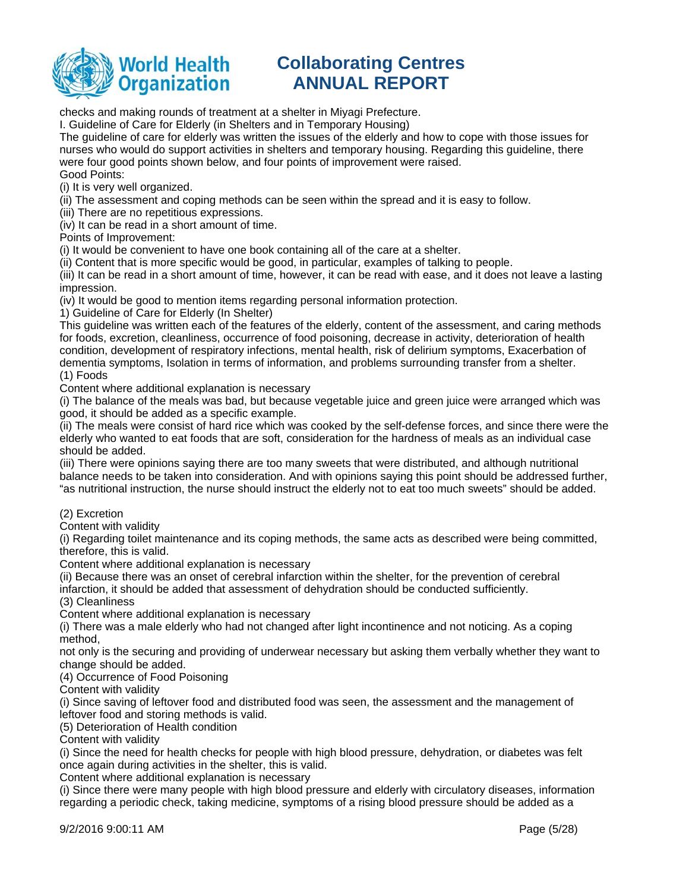

checks and making rounds of treatment at a shelter in Miyagi Prefecture.

I. Guideline of Care for Elderly (in Shelters and in Temporary Housing)

The guideline of care for elderly was written the issues of the elderly and how to cope with those issues for nurses who would do support activities in shelters and temporary housing. Regarding this guideline, there were four good points shown below, and four points of improvement were raised. Good Points:

(i) It is very well organized.

(ii) The assessment and coping methods can be seen within the spread and it is easy to follow.

(iii) There are no repetitious expressions.

(iv) It can be read in a short amount of time.

Points of Improvement:

(i) It would be convenient to have one book containing all of the care at a shelter.

(ii) Content that is more specific would be good, in particular, examples of talking to people.

(iii) It can be read in a short amount of time, however, it can be read with ease, and it does not leave a lasting impression.

(iv) It would be good to mention items regarding personal information protection.

1) Guideline of Care for Elderly (In Shelter)

This guideline was written each of the features of the elderly, content of the assessment, and caring methods for foods, excretion, cleanliness, occurrence of food poisoning, decrease in activity, deterioration of health condition, development of respiratory infections, mental health, risk of delirium symptoms, Exacerbation of dementia symptoms, Isolation in terms of information, and problems surrounding transfer from a shelter. (1) Foods

Content where additional explanation is necessary

(i) The balance of the meals was bad, but because vegetable juice and green juice were arranged which was good, it should be added as a specific example.

(ii) The meals were consist of hard rice which was cooked by the self-defense forces, and since there were the elderly who wanted to eat foods that are soft, consideration for the hardness of meals as an individual case should be added.

(iii) There were opinions saying there are too many sweets that were distributed, and although nutritional balance needs to be taken into consideration. And with opinions saying this point should be addressed further, "as nutritional instruction, the nurse should instruct the elderly not to eat too much sweets" should be added.

(2) Excretion

Content with validity

(i) Regarding toilet maintenance and its coping methods, the same acts as described were being committed, therefore, this is valid.

Content where additional explanation is necessary

(ii) Because there was an onset of cerebral infarction within the shelter, for the prevention of cerebral

infarction, it should be added that assessment of dehydration should be conducted sufficiently.

(3) Cleanliness

Content where additional explanation is necessary

(i) There was a male elderly who had not changed after light incontinence and not noticing. As a coping method,

not only is the securing and providing of underwear necessary but asking them verbally whether they want to change should be added.

(4) Occurrence of Food Poisoning

Content with validity

(i) Since saving of leftover food and distributed food was seen, the assessment and the management of leftover food and storing methods is valid.

(5) Deterioration of Health condition

Content with validity

(i) Since the need for health checks for people with high blood pressure, dehydration, or diabetes was felt once again during activities in the shelter, this is valid.

Content where additional explanation is necessary

(i) Since there were many people with high blood pressure and elderly with circulatory diseases, information regarding a periodic check, taking medicine, symptoms of a rising blood pressure should be added as a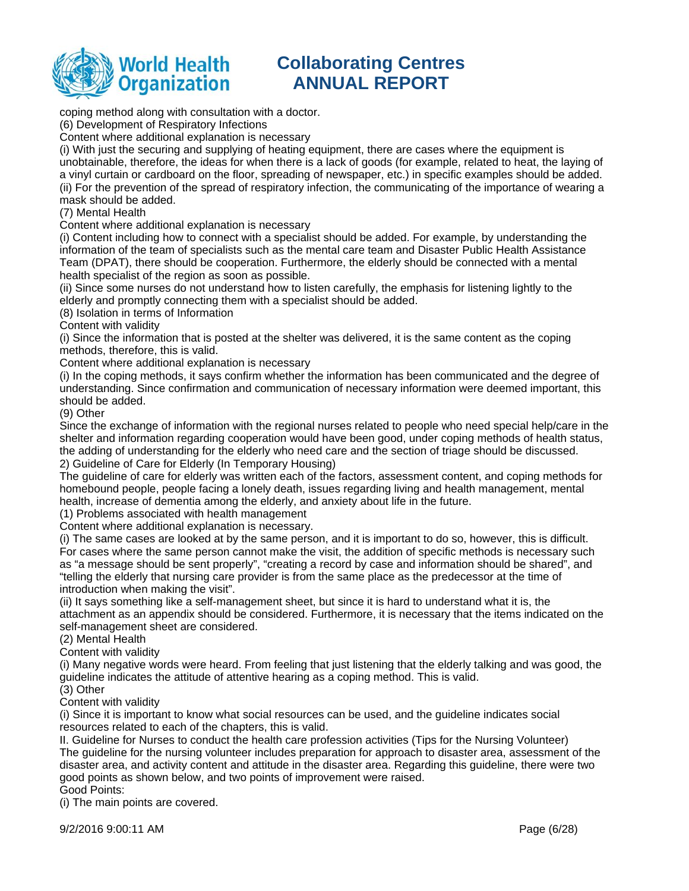

coping method along with consultation with a doctor.

(6) Development of Respiratory Infections

Content where additional explanation is necessary

(i) With just the securing and supplying of heating equipment, there are cases where the equipment is unobtainable, therefore, the ideas for when there is a lack of goods (for example, related to heat, the laying of a vinyl curtain or cardboard on the floor, spreading of newspaper, etc.) in specific examples should be added. (ii) For the prevention of the spread of respiratory infection, the communicating of the importance of wearing a mask should be added.

(7) Mental Health

Content where additional explanation is necessary

(i) Content including how to connect with a specialist should be added. For example, by understanding the information of the team of specialists such as the mental care team and Disaster Public Health Assistance Team (DPAT), there should be cooperation. Furthermore, the elderly should be connected with a mental health specialist of the region as soon as possible.

(ii) Since some nurses do not understand how to listen carefully, the emphasis for listening lightly to the elderly and promptly connecting them with a specialist should be added.

(8) Isolation in terms of Information

Content with validity

(i) Since the information that is posted at the shelter was delivered, it is the same content as the coping methods, therefore, this is valid.

Content where additional explanation is necessary

(i) In the coping methods, it says confirm whether the information has been communicated and the degree of understanding. Since confirmation and communication of necessary information were deemed important, this should be added.

(9) Other

Since the exchange of information with the regional nurses related to people who need special help/care in the shelter and information regarding cooperation would have been good, under coping methods of health status, the adding of understanding for the elderly who need care and the section of triage should be discussed. 2) Guideline of Care for Elderly (In Temporary Housing)

The guideline of care for elderly was written each of the factors, assessment content, and coping methods for homebound people, people facing a lonely death, issues regarding living and health management, mental health, increase of dementia among the elderly, and anxiety about life in the future.

(1) Problems associated with health management

Content where additional explanation is necessary.

(i) The same cases are looked at by the same person, and it is important to do so, however, this is difficult. For cases where the same person cannot make the visit, the addition of specific methods is necessary such as "a message should be sent properly", "creating a record by case and information should be shared", and "telling the elderly that nursing care provider is from the same place as the predecessor at the time of introduction when making the visit".

(ii) It says something like a self-management sheet, but since it is hard to understand what it is, the attachment as an appendix should be considered. Furthermore, it is necessary that the items indicated on the self-management sheet are considered.

(2) Mental Health

Content with validity

(i) Many negative words were heard. From feeling that just listening that the elderly talking and was good, the guideline indicates the attitude of attentive hearing as a coping method. This is valid.

(3) Other

Content with validity

(i) Since it is important to know what social resources can be used, and the guideline indicates social resources related to each of the chapters, this is valid.

II. Guideline for Nurses to conduct the health care profession activities (Tips for the Nursing Volunteer) The guideline for the nursing volunteer includes preparation for approach to disaster area, assessment of the disaster area, and activity content and attitude in the disaster area. Regarding this guideline, there were two good points as shown below, and two points of improvement were raised. Good Points:

(i) The main points are covered.

9/2/2016 9:00:11 AM Page (6/28)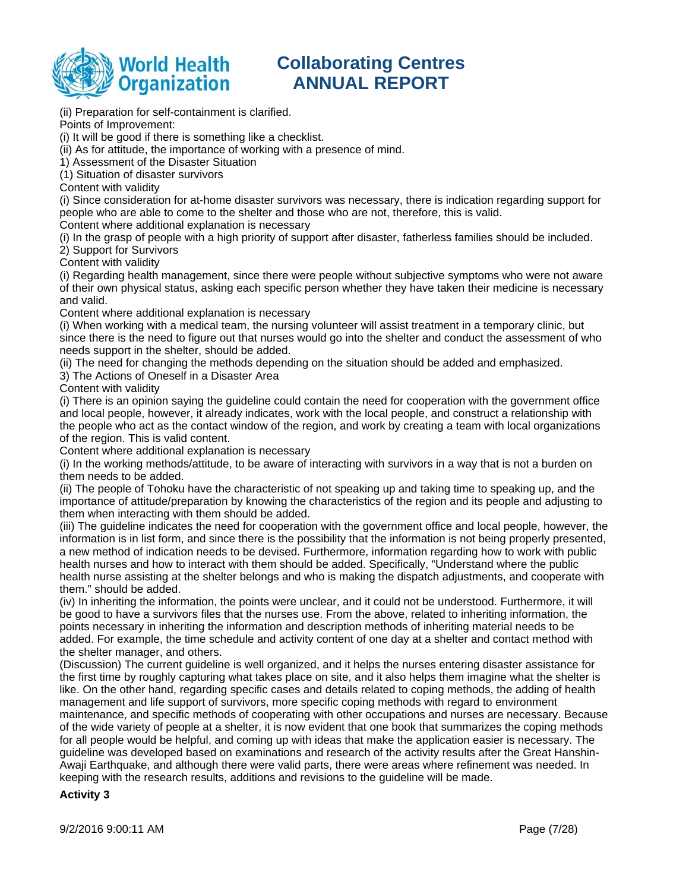

(ii) Preparation for self-containment is clarified.

Points of Improvement:

(i) It will be good if there is something like a checklist.

(ii) As for attitude, the importance of working with a presence of mind.

1) Assessment of the Disaster Situation

(1) Situation of disaster survivors

Content with validity

(i) Since consideration for at-home disaster survivors was necessary, there is indication regarding support for people who are able to come to the shelter and those who are not, therefore, this is valid.

Content where additional explanation is necessary

(i) In the grasp of people with a high priority of support after disaster, fatherless families should be included.

2) Support for Survivors

Content with validity

(i) Regarding health management, since there were people without subjective symptoms who were not aware of their own physical status, asking each specific person whether they have taken their medicine is necessary and valid.

Content where additional explanation is necessary

(i) When working with a medical team, the nursing volunteer will assist treatment in a temporary clinic, but since there is the need to figure out that nurses would go into the shelter and conduct the assessment of who needs support in the shelter, should be added.

(ii) The need for changing the methods depending on the situation should be added and emphasized.

3) The Actions of Oneself in a Disaster Area

Content with validity

(i) There is an opinion saying the guideline could contain the need for cooperation with the government office and local people, however, it already indicates, work with the local people, and construct a relationship with the people who act as the contact window of the region, and work by creating a team with local organizations of the region. This is valid content.

Content where additional explanation is necessary

(i) In the working methods/attitude, to be aware of interacting with survivors in a way that is not a burden on them needs to be added.

(ii) The people of Tohoku have the characteristic of not speaking up and taking time to speaking up, and the importance of attitude/preparation by knowing the characteristics of the region and its people and adjusting to them when interacting with them should be added.

(iii) The guideline indicates the need for cooperation with the government office and local people, however, the information is in list form, and since there is the possibility that the information is not being properly presented, a new method of indication needs to be devised. Furthermore, information regarding how to work with public health nurses and how to interact with them should be added. Specifically, "Understand where the public health nurse assisting at the shelter belongs and who is making the dispatch adjustments, and cooperate with them." should be added.

(iv) In inheriting the information, the points were unclear, and it could not be understood. Furthermore, it will be good to have a survivors files that the nurses use. From the above, related to inheriting information, the points necessary in inheriting the information and description methods of inheriting material needs to be added. For example, the time schedule and activity content of one day at a shelter and contact method with the shelter manager, and others.

(Discussion) The current guideline is well organized, and it helps the nurses entering disaster assistance for the first time by roughly capturing what takes place on site, and it also helps them imagine what the shelter is like. On the other hand, regarding specific cases and details related to coping methods, the adding of health management and life support of survivors, more specific coping methods with regard to environment maintenance, and specific methods of cooperating with other occupations and nurses are necessary. Because of the wide variety of people at a shelter, it is now evident that one book that summarizes the coping methods for all people would be helpful, and coming up with ideas that make the application easier is necessary. The guideline was developed based on examinations and research of the activity results after the Great Hanshin-Awaji Earthquake, and although there were valid parts, there were areas where refinement was needed. In keeping with the research results, additions and revisions to the guideline will be made.

### **Activity 3**

9/2/2016 9:00:11 AM Page (7/28)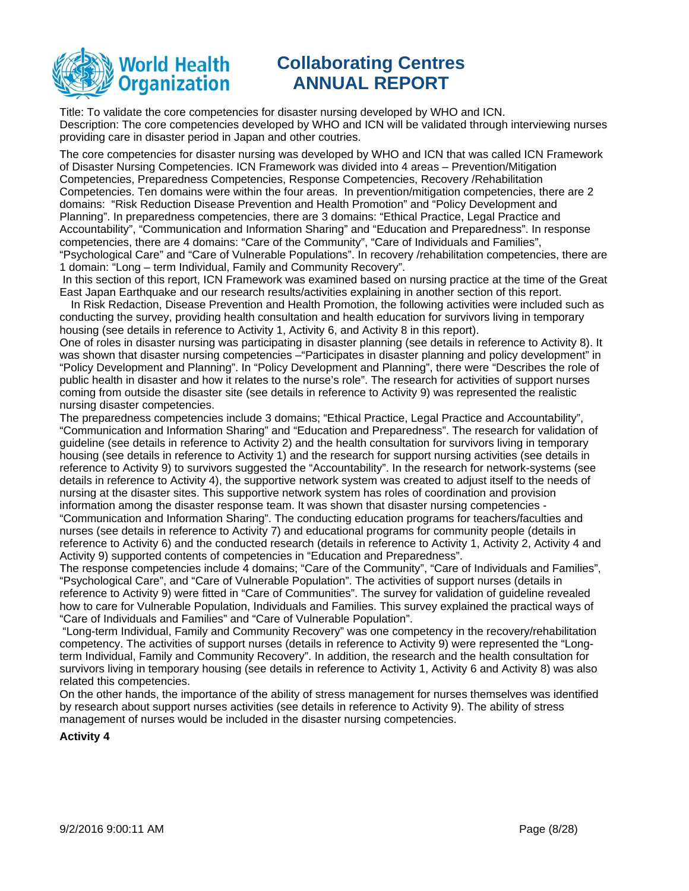

Title: To validate the core competencies for disaster nursing developed by WHO and ICN. Description: The core competencies developed by WHO and ICN will be validated through interviewing nurses providing care in disaster period in Japan and other coutries.

The core competencies for disaster nursing was developed by WHO and ICN that was called ICN Framework of Disaster Nursing Competencies. ICN Framework was divided into 4 areas – Prevention/Mitigation Competencies, Preparedness Competencies, Response Competencies, Recovery /Rehabilitation Competencies. Ten domains were within the four areas. In prevention/mitigation competencies, there are 2 domains: "Risk Reduction Disease Prevention and Health Promotion" and "Policy Development and Planning". In preparedness competencies, there are 3 domains: "Ethical Practice, Legal Practice and Accountability", "Communication and Information Sharing" and "Education and Preparedness". In response competencies, there are 4 domains: "Care of the Community", "Care of Individuals and Families", "Psychological Care" and "Care of Vulnerable Populations". In recovery /rehabilitation competencies, there are 1 domain: "Long – term Individual, Family and Community Recovery".

 In this section of this report, ICN Framework was examined based on nursing practice at the time of the Great East Japan Earthquake and our research results/activities explaining in another section of this report.

In Risk Redaction, Disease Prevention and Health Promotion, the following activities were included such as conducting the survey, providing health consultation and health education for survivors living in temporary housing (see details in reference to Activity 1, Activity 6, and Activity 8 in this report).

One of roles in disaster nursing was participating in disaster planning (see details in reference to Activity 8). It was shown that disaster nursing competencies –"Participates in disaster planning and policy development" in "Policy Development and Planning". In "Policy Development and Planning", there were "Describes the role of public health in disaster and how it relates to the nurse's role". The research for activities of support nurses coming from outside the disaster site (see details in reference to Activity 9) was represented the realistic nursing disaster competencies.

The preparedness competencies include 3 domains; "Ethical Practice, Legal Practice and Accountability", "Communication and Information Sharing" and "Education and Preparedness". The research for validation of guideline (see details in reference to Activity 2) and the health consultation for survivors living in temporary housing (see details in reference to Activity 1) and the research for support nursing activities (see details in reference to Activity 9) to survivors suggested the "Accountability". In the research for network-systems (see details in reference to Activity 4), the supportive network system was created to adjust itself to the needs of nursing at the disaster sites. This supportive network system has roles of coordination and provision information among the disaster response team. It was shown that disaster nursing competencies -

"Communication and Information Sharing". The conducting education programs for teachers/faculties and nurses (see details in reference to Activity 7) and educational programs for community people (details in reference to Activity 6) and the conducted research (details in reference to Activity 1, Activity 2, Activity 4 and Activity 9) supported contents of competencies in "Education and Preparedness".

The response competencies include 4 domains; "Care of the Community", "Care of Individuals and Families", "Psychological Care", and "Care of Vulnerable Population". The activities of support nurses (details in reference to Activity 9) were fitted in "Care of Communities". The survey for validation of guideline revealed how to care for Vulnerable Population, Individuals and Families. This survey explained the practical ways of "Care of Individuals and Families" and "Care of Vulnerable Population".

 "Long-term Individual, Family and Community Recovery" was one competency in the recovery/rehabilitation competency. The activities of support nurses (details in reference to Activity 9) were represented the "Longterm Individual, Family and Community Recovery". In addition, the research and the health consultation for survivors living in temporary housing (see details in reference to Activity 1, Activity 6 and Activity 8) was also related this competencies.

On the other hands, the importance of the ability of stress management for nurses themselves was identified by research about support nurses activities (see details in reference to Activity 9). The ability of stress management of nurses would be included in the disaster nursing competencies.

### **Activity 4**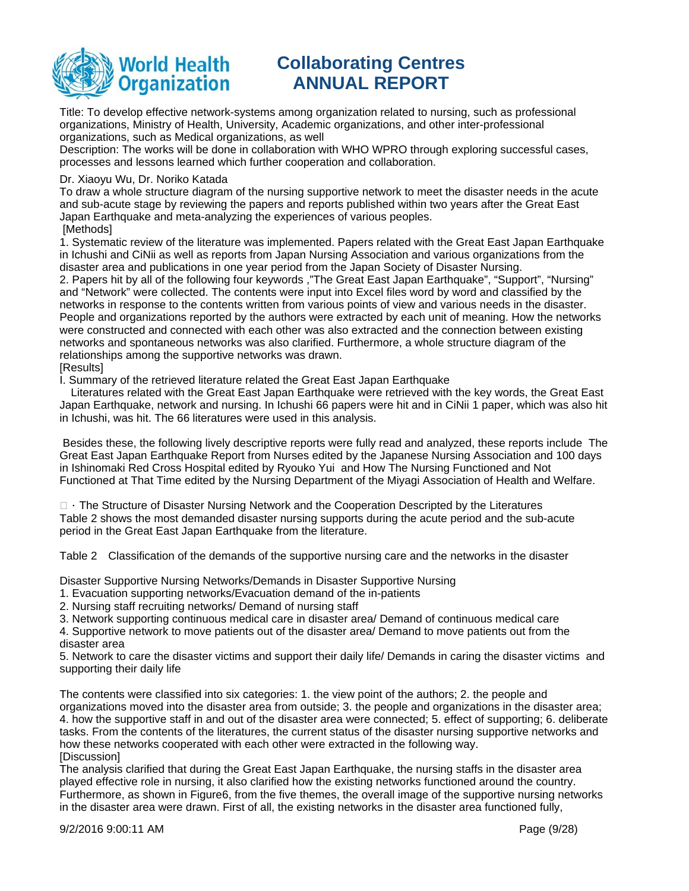

Title: To develop effective network-systems among organization related to nursing, such as professional organizations, Ministry of Health, University, Academic organizations, and other inter-professional organizations, such as Medical organizations, as well

Description: The works will be done in collaboration with WHO WPRO through exploring successful cases, processes and lessons learned which further cooperation and collaboration.

### Dr. Xiaoyu Wu, Dr. Noriko Katada

To draw a whole structure diagram of the nursing supportive network to meet the disaster needs in the acute and sub-acute stage by reviewing the papers and reports published within two years after the Great East Japan Earthquake and meta-analyzing the experiences of various peoples. [Methods]

1. Systematic review of the literature was implemented. Papers related with the Great East Japan Earthquake in Ichushi and CiNii as well as reports from Japan Nursing Association and various organizations from the disaster area and publications in one year period from the Japan Society of Disaster Nursing.

2. Papers hit by all of the following four keywords ,"The Great East Japan Earthquake", "Support", "Nursing" and "Network" were collected. The contents were input into Excel files word by word and classified by the networks in response to the contents written from various points of view and various needs in the disaster. People and organizations reported by the authors were extracted by each unit of meaning. How the networks were constructed and connected with each other was also extracted and the connection between existing networks and spontaneous networks was also clarified. Furthermore, a whole structure diagram of the relationships among the supportive networks was drawn.

#### [Results]

I. Summary of the retrieved literature related the Great East Japan Earthquake

Literatures related with the Great East Japan Earthquake were retrieved with the key words, the Great East Japan Earthquake, network and nursing. In Ichushi 66 papers were hit and in CiNii 1 paper, which was also hit in Ichushi, was hit. The 66 literatures were used in this analysis.

 Besides these, the following lively descriptive reports were fully read and analyzed, these reports include The Great East Japan Earthquake Report from Nurses edited by the Japanese Nursing Association and 100 days in Ishinomaki Red Cross Hospital edited by Ryouko Yui and How The Nursing Functioned and Not Functioned at That Time edited by the Nursing Department of the Miyagi Association of Health and Welfare.

 $\Box$  The Structure of Disaster Nursing Network and the Cooperation Descripted by the Literatures Table 2 shows the most demanded disaster nursing supports during the acute period and the sub-acute period in the Great East Japan Earthquake from the literature.

Table 2 Classification of the demands of the supportive nursing care and the networks in the disaster

Disaster Supportive Nursing Networks/Demands in Disaster Supportive Nursing

- 1. Evacuation supporting networks/Evacuation demand of the in-patients
- 2. Nursing staff recruiting networks/ Demand of nursing staff

3. Network supporting continuous medical care in disaster area/ Demand of continuous medical care

4. Supportive network to move patients out of the disaster area/ Demand to move patients out from the disaster area

5. Network to care the disaster victims and support their daily life/ Demands in caring the disaster victims and supporting their daily life

The contents were classified into six categories: 1. the view point of the authors; 2. the people and organizations moved into the disaster area from outside; 3. the people and organizations in the disaster area; 4. how the supportive staff in and out of the disaster area were connected; 5. effect of supporting; 6. deliberate tasks. From the contents of the literatures, the current status of the disaster nursing supportive networks and how these networks cooperated with each other were extracted in the following way. [Discussion]

The analysis clarified that during the Great East Japan Earthquake, the nursing staffs in the disaster area played effective role in nursing, it also clarified how the existing networks functioned around the country. Furthermore, as shown in Figure6, from the five themes, the overall image of the supportive nursing networks in the disaster area were drawn. First of all, the existing networks in the disaster area functioned fully,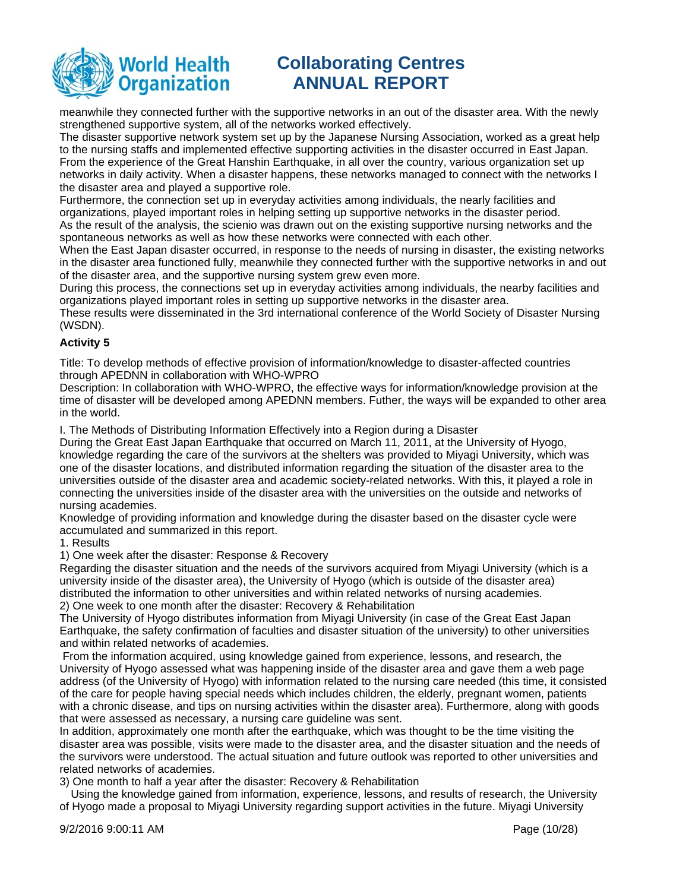

meanwhile they connected further with the supportive networks in an out of the disaster area. With the newly strengthened supportive system, all of the networks worked effectively.

The disaster supportive network system set up by the Japanese Nursing Association, worked as a great help to the nursing staffs and implemented effective supporting activities in the disaster occurred in East Japan. From the experience of the Great Hanshin Earthquake, in all over the country, various organization set up networks in daily activity. When a disaster happens, these networks managed to connect with the networks I the disaster area and played a supportive role.

Furthermore, the connection set up in everyday activities among individuals, the nearly facilities and organizations, played important roles in helping setting up supportive networks in the disaster period. As the result of the analysis, the scienio was drawn out on the existing supportive nursing networks and the spontaneous networks as well as how these networks were connected with each other.

When the East Japan disaster occurred, in response to the needs of nursing in disaster, the existing networks in the disaster area functioned fully, meanwhile they connected further with the supportive networks in and out of the disaster area, and the supportive nursing system grew even more.

During this process, the connections set up in everyday activities among individuals, the nearby facilities and organizations played important roles in setting up supportive networks in the disaster area.

These results were disseminated in the 3rd international conference of the World Society of Disaster Nursing (WSDN).

### **Activity 5**

Title: To develop methods of effective provision of information/knowledge to disaster-affected countries through APEDNN in collaboration with WHO-WPRO

Description: In collaboration with WHO-WPRO, the effective ways for information/knowledge provision at the time of disaster will be developed among APEDNN members. Futher, the ways will be expanded to other area in the world.

I. The Methods of Distributing Information Effectively into a Region during a Disaster

During the Great East Japan Earthquake that occurred on March 11, 2011, at the University of Hyogo, knowledge regarding the care of the survivors at the shelters was provided to Miyagi University, which was one of the disaster locations, and distributed information regarding the situation of the disaster area to the universities outside of the disaster area and academic society-related networks. With this, it played a role in connecting the universities inside of the disaster area with the universities on the outside and networks of nursing academies.

Knowledge of providing information and knowledge during the disaster based on the disaster cycle were accumulated and summarized in this report.

1. Results

1) One week after the disaster: Response & Recovery

Regarding the disaster situation and the needs of the survivors acquired from Miyagi University (which is a university inside of the disaster area), the University of Hyogo (which is outside of the disaster area) distributed the information to other universities and within related networks of nursing academies. 2) One week to one month after the disaster: Recovery & Rehabilitation

The University of Hyogo distributes information from Miyagi University (in case of the Great East Japan Earthquake, the safety confirmation of faculties and disaster situation of the university) to other universities and within related networks of academies.

 From the information acquired, using knowledge gained from experience, lessons, and research, the University of Hyogo assessed what was happening inside of the disaster area and gave them a web page address (of the University of Hyogo) with information related to the nursing care needed (this time, it consisted of the care for people having special needs which includes children, the elderly, pregnant women, patients with a chronic disease, and tips on nursing activities within the disaster area). Furthermore, along with goods that were assessed as necessary, a nursing care guideline was sent.

In addition, approximately one month after the earthquake, which was thought to be the time visiting the disaster area was possible, visits were made to the disaster area, and the disaster situation and the needs of the survivors were understood. The actual situation and future outlook was reported to other universities and related networks of academies.

3) One month to half a year after the disaster: Recovery & Rehabilitation

Using the knowledge gained from information, experience, lessons, and results of research, the University of Hyogo made a proposal to Miyagi University regarding support activities in the future. Miyagi University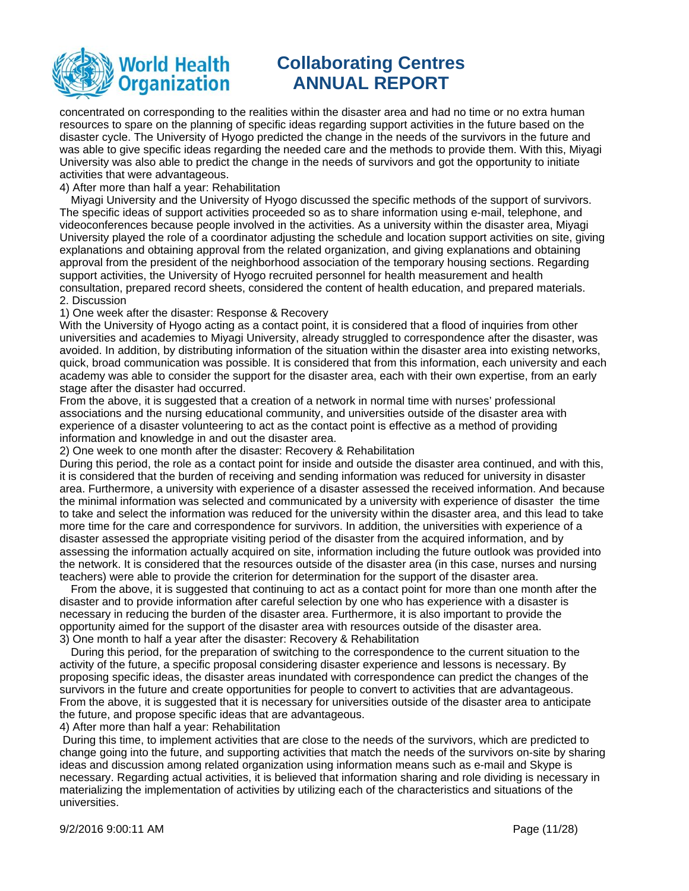

concentrated on corresponding to the realities within the disaster area and had no time or no extra human resources to spare on the planning of specific ideas regarding support activities in the future based on the disaster cycle. The University of Hyogo predicted the change in the needs of the survivors in the future and was able to give specific ideas regarding the needed care and the methods to provide them. With this, Miyagi University was also able to predict the change in the needs of survivors and got the opportunity to initiate activities that were advantageous.

4) After more than half a year: Rehabilitation

Miyagi University and the University of Hyogo discussed the specific methods of the support of survivors. The specific ideas of support activities proceeded so as to share information using e-mail, telephone, and videoconferences because people involved in the activities. As a university within the disaster area, Miyagi University played the role of a coordinator adjusting the schedule and location support activities on site, giving explanations and obtaining approval from the related organization, and giving explanations and obtaining approval from the president of the neighborhood association of the temporary housing sections. Regarding support activities, the University of Hyogo recruited personnel for health measurement and health consultation, prepared record sheets, considered the content of health education, and prepared materials. 2. Discussion

1) One week after the disaster: Response & Recovery

With the University of Hyogo acting as a contact point, it is considered that a flood of inquiries from other universities and academies to Miyagi University, already struggled to correspondence after the disaster, was avoided. In addition, by distributing information of the situation within the disaster area into existing networks, quick, broad communication was possible. It is considered that from this information, each university and each academy was able to consider the support for the disaster area, each with their own expertise, from an early stage after the disaster had occurred.

From the above, it is suggested that a creation of a network in normal time with nurses' professional associations and the nursing educational community, and universities outside of the disaster area with experience of a disaster volunteering to act as the contact point is effective as a method of providing information and knowledge in and out the disaster area.

2) One week to one month after the disaster: Recovery & Rehabilitation

During this period, the role as a contact point for inside and outside the disaster area continued, and with this, it is considered that the burden of receiving and sending information was reduced for university in disaster area. Furthermore, a university with experience of a disaster assessed the received information. And because the minimal information was selected and communicated by a university with experience of disaster the time to take and select the information was reduced for the university within the disaster area, and this lead to take more time for the care and correspondence for survivors. In addition, the universities with experience of a disaster assessed the appropriate visiting period of the disaster from the acquired information, and by assessing the information actually acquired on site, information including the future outlook was provided into the network. It is considered that the resources outside of the disaster area (in this case, nurses and nursing teachers) were able to provide the criterion for determination for the support of the disaster area.

From the above, it is suggested that continuing to act as a contact point for more than one month after the disaster and to provide information after careful selection by one who has experience with a disaster is necessary in reducing the burden of the disaster area. Furthermore, it is also important to provide the opportunity aimed for the support of the disaster area with resources outside of the disaster area. 3) One month to half a year after the disaster: Recovery & Rehabilitation

During this period, for the preparation of switching to the correspondence to the current situation to the activity of the future, a specific proposal considering disaster experience and lessons is necessary. By proposing specific ideas, the disaster areas inundated with correspondence can predict the changes of the survivors in the future and create opportunities for people to convert to activities that are advantageous. From the above, it is suggested that it is necessary for universities outside of the disaster area to anticipate the future, and propose specific ideas that are advantageous.

4) After more than half a year: Rehabilitation

 During this time, to implement activities that are close to the needs of the survivors, which are predicted to change going into the future, and supporting activities that match the needs of the survivors on-site by sharing ideas and discussion among related organization using information means such as e-mail and Skype is necessary. Regarding actual activities, it is believed that information sharing and role dividing is necessary in materializing the implementation of activities by utilizing each of the characteristics and situations of the universities.

9/2/2016 9:00:11 AM Page (11/28)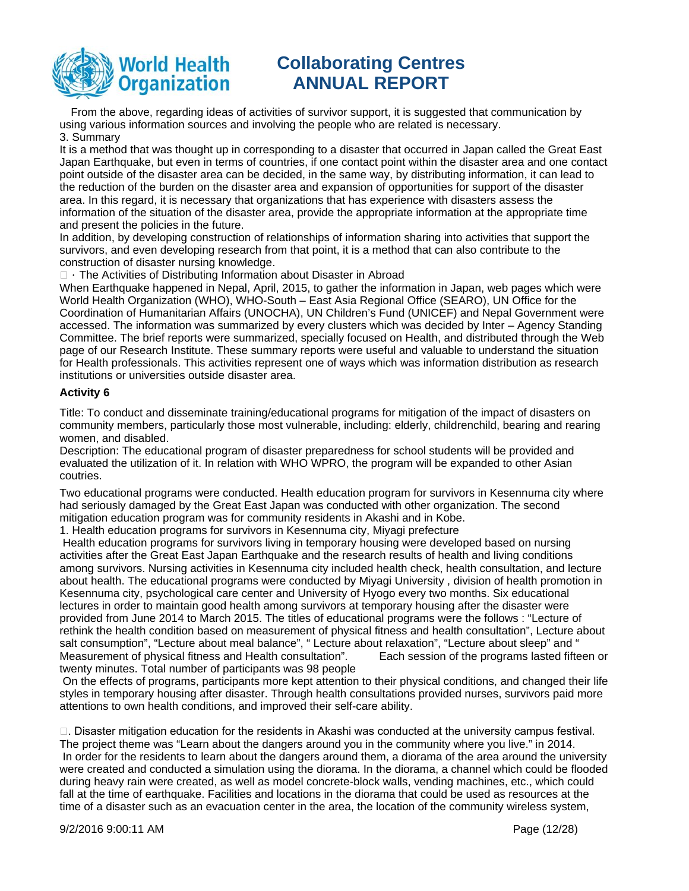

From the above, regarding ideas of activities of survivor support, it is suggested that communication by using various information sources and involving the people who are related is necessary. 3. Summary

It is a method that was thought up in corresponding to a disaster that occurred in Japan called the Great East Japan Earthquake, but even in terms of countries, if one contact point within the disaster area and one contact point outside of the disaster area can be decided, in the same way, by distributing information, it can lead to the reduction of the burden on the disaster area and expansion of opportunities for support of the disaster area. In this regard, it is necessary that organizations that has experience with disasters assess the information of the situation of the disaster area, provide the appropriate information at the appropriate time and present the policies in the future.

In addition, by developing construction of relationships of information sharing into activities that support the survivors, and even developing research from that point, it is a method that can also contribute to the construction of disaster nursing knowledge.

 $\Box$  The Activities of Distributing Information about Disaster in Abroad

When Earthquake happened in Nepal, April, 2015, to gather the information in Japan, web pages which were World Health Organization (WHO), WHO-South – East Asia Regional Office (SEARO), UN Office for the Coordination of Humanitarian Affairs (UNOCHA), UN Children's Fund (UNICEF) and Nepal Government were accessed. The information was summarized by every clusters which was decided by Inter – Agency Standing Committee. The brief reports were summarized, specially focused on Health, and distributed through the Web page of our Research Institute. These summary reports were useful and valuable to understand the situation for Health professionals. This activities represent one of ways which was information distribution as research institutions or universities outside disaster area.

### **Activity 6**

Title: To conduct and disseminate training/educational programs for mitigation of the impact of disasters on community members, particularly those most vulnerable, including: elderly, childrenchild, bearing and rearing women, and disabled.

Description: The educational program of disaster preparedness for school students will be provided and evaluated the utilization of it. In relation with WHO WPRO, the program will be expanded to other Asian coutries.

Two educational programs were conducted. Health education program for survivors in Kesennuma city where had seriously damaged by the Great East Japan was conducted with other organization. The second mitigation education program was for community residents in Akashi and in Kobe.

1. Health education programs for survivors in Kesennuma city, Miyagi prefecture

 Health education programs for survivors living in temporary housing were developed based on nursing activities after the Great East Japan Earthquake and the research results of health and living conditions among survivors. Nursing activities in Kesennuma city included health check, health consultation, and lecture about health. The educational programs were conducted by Miyagi University , division of health promotion in Kesennuma city, psychological care center and University of Hyogo every two months. Six educational lectures in order to maintain good health among survivors at temporary housing after the disaster were provided from June 2014 to March 2015. The titles of educational programs were the follows : "Lecture of rethink the health condition based on measurement of physical fitness and health consultation", Lecture about salt consumption", "Lecture about meal balance", " Lecture about relaxation", "Lecture about sleep" and " Measurement of physical fitness and Health consultation". Each session of the programs lasted fifteen or twenty minutes. Total number of participants was 98 people

 On the effects of programs, participants more kept attention to their physical conditions, and changed their life styles in temporary housing after disaster. Through health consultations provided nurses, survivors paid more attentions to own health conditions, and improved their self-care ability.

 $\Box$ . Disaster mitigation education for the residents in Akashi was conducted at the university campus festival. The project theme was "Learn about the dangers around you in the community where you live." in 2014. In order for the residents to learn about the dangers around them, a diorama of the area around the university were created and conducted a simulation using the diorama. In the diorama, a channel which could be flooded during heavy rain were created, as well as model concrete-block walls, vending machines, etc., which could fall at the time of earthquake. Facilities and locations in the diorama that could be used as resources at the time of a disaster such as an evacuation center in the area, the location of the community wireless system,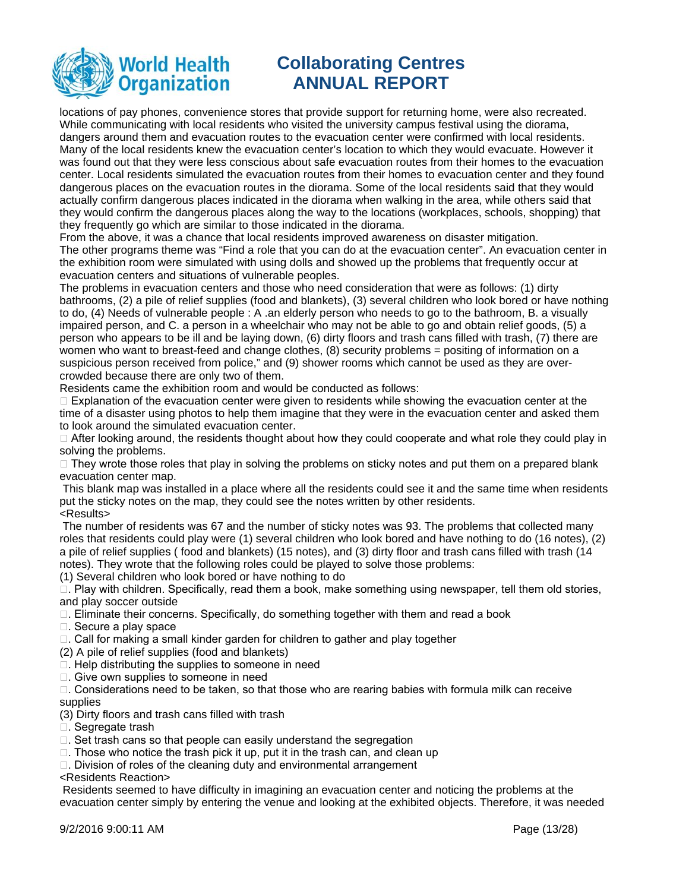

locations of pay phones, convenience stores that provide support for returning home, were also recreated. While communicating with local residents who visited the university campus festival using the diorama, dangers around them and evacuation routes to the evacuation center were confirmed with local residents. Many of the local residents knew the evacuation center's location to which they would evacuate. However it was found out that they were less conscious about safe evacuation routes from their homes to the evacuation center. Local residents simulated the evacuation routes from their homes to evacuation center and they found dangerous places on the evacuation routes in the diorama. Some of the local residents said that they would actually confirm dangerous places indicated in the diorama when walking in the area, while others said that they would confirm the dangerous places along the way to the locations (workplaces, schools, shopping) that they frequently go which are similar to those indicated in the diorama.

From the above, it was a chance that local residents improved awareness on disaster mitigation. The other programs theme was "Find a role that you can do at the evacuation center". An evacuation center in the exhibition room were simulated with using dolls and showed up the problems that frequently occur at evacuation centers and situations of vulnerable peoples.

The problems in evacuation centers and those who need consideration that were as follows: (1) dirty bathrooms, (2) a pile of relief supplies (food and blankets), (3) several children who look bored or have nothing to do, (4) Needs of vulnerable people : A .an elderly person who needs to go to the bathroom, B. a visually impaired person, and C. a person in a wheelchair who may not be able to go and obtain relief goods, (5) a person who appears to be ill and be laying down, (6) dirty floors and trash cans filled with trash, (7) there are women who want to breast-feed and change clothes, (8) security problems = positing of information on a suspicious person received from police," and (9) shower rooms which cannot be used as they are overcrowded because there are only two of them.

Residents came the exhibition room and would be conducted as follows:

 $\Box$  Explanation of the evacuation center were given to residents while showing the evacuation center at the time of a disaster using photos to help them imagine that they were in the evacuation center and asked them to look around the simulated evacuation center.

 $\Box$  After looking around, the residents thought about how they could cooperate and what role they could play in solving the problems.

 $\Box$  They wrote those roles that play in solving the problems on sticky notes and put them on a prepared blank evacuation center map.

 This blank map was installed in a place where all the residents could see it and the same time when residents put the sticky notes on the map, they could see the notes written by other residents. <Results>

 The number of residents was 67 and the number of sticky notes was 93. The problems that collected many roles that residents could play were (1) several children who look bored and have nothing to do (16 notes), (2) a pile of relief supplies ( food and blankets) (15 notes), and (3) dirty floor and trash cans filled with trash (14 notes). They wrote that the following roles could be played to solve those problems:

(1) Several children who look bored or have nothing to do

 $\Box$ . Play with children. Specifically, read them a book, make something using newspaper, tell them old stories, and play soccer outside

 $\Box$ . Eliminate their concerns. Specifically, do something together with them and read a book

 $\Box$ . Secure a play space

- $\Box$ . Call for making a small kinder garden for children to gather and play together
- (2) A pile of relief supplies (food and blankets)
- $\Box$ . Help distributing the supplies to someone in need
- $\Box$ . Give own supplies to someone in need

 $\Box$ . Considerations need to be taken, so that those who are rearing babies with formula milk can receive supplies

(3) Dirty floors and trash cans filled with trash

- $\Box$ . Segregate trash
- $\Box$ . Set trash cans so that people can easily understand the segregation
- $\Box$ . Those who notice the trash pick it up, put it in the trash can, and clean up
- $\Box$ . Division of roles of the cleaning duty and environmental arrangement

<Residents Reaction>

 Residents seemed to have difficulty in imagining an evacuation center and noticing the problems at the evacuation center simply by entering the venue and looking at the exhibited objects. Therefore, it was needed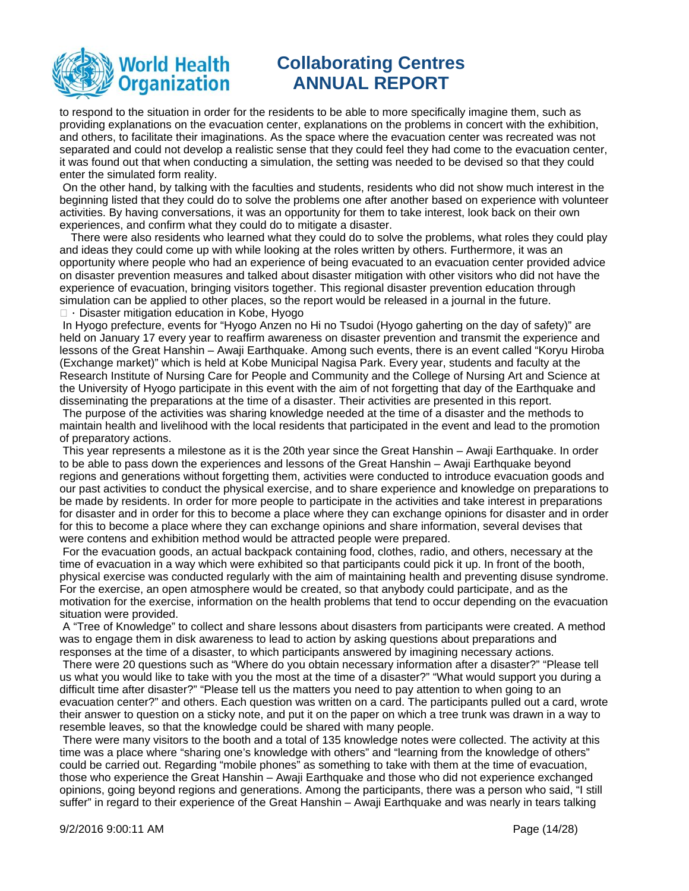

to respond to the situation in order for the residents to be able to more specifically imagine them, such as providing explanations on the evacuation center, explanations on the problems in concert with the exhibition, and others, to facilitate their imaginations. As the space where the evacuation center was recreated was not separated and could not develop a realistic sense that they could feel they had come to the evacuation center, it was found out that when conducting a simulation, the setting was needed to be devised so that they could enter the simulated form reality.

 On the other hand, by talking with the faculties and students, residents who did not show much interest in the beginning listed that they could do to solve the problems one after another based on experience with volunteer activities. By having conversations, it was an opportunity for them to take interest, look back on their own experiences, and confirm what they could do to mitigate a disaster.

There were also residents who learned what they could do to solve the problems, what roles they could play and ideas they could come up with while looking at the roles written by others. Furthermore, it was an opportunity where people who had an experience of being evacuated to an evacuation center provided advice on disaster prevention measures and talked about disaster mitigation with other visitors who did not have the experience of evacuation, bringing visitors together. This regional disaster prevention education through simulation can be applied to other places, so the report would be released in a journal in the future.  $\Box$   $\cdot$  Disaster mitigation education in Kobe, Hyogo

 In Hyogo prefecture, events for "Hyogo Anzen no Hi no Tsudoi (Hyogo gaherting on the day of safety)" are held on January 17 every year to reaffirm awareness on disaster prevention and transmit the experience and lessons of the Great Hanshin – Awaji Earthquake. Among such events, there is an event called "Koryu Hiroba (Exchange market)" which is held at Kobe Municipal Nagisa Park. Every year, students and faculty at the Research Institute of Nursing Care for People and Community and the College of Nursing Art and Science at the University of Hyogo participate in this event with the aim of not forgetting that day of the Earthquake and disseminating the preparations at the time of a disaster. Their activities are presented in this report.

 The purpose of the activities was sharing knowledge needed at the time of a disaster and the methods to maintain health and livelihood with the local residents that participated in the event and lead to the promotion of preparatory actions.

 This year represents a milestone as it is the 20th year since the Great Hanshin – Awaji Earthquake. In order to be able to pass down the experiences and lessons of the Great Hanshin – Awaji Earthquake beyond regions and generations without forgetting them, activities were conducted to introduce evacuation goods and our past activities to conduct the physical exercise, and to share experience and knowledge on preparations to be made by residents. In order for more people to participate in the activities and take interest in preparations for disaster and in order for this to become a place where they can exchange opinions for disaster and in order for this to become a place where they can exchange opinions and share information, several devises that were contens and exhibition method would be attracted people were prepared.

 For the evacuation goods, an actual backpack containing food, clothes, radio, and others, necessary at the time of evacuation in a way which were exhibited so that participants could pick it up. In front of the booth, physical exercise was conducted regularly with the aim of maintaining health and preventing disuse syndrome. For the exercise, an open atmosphere would be created, so that anybody could participate, and as the motivation for the exercise, information on the health problems that tend to occur depending on the evacuation situation were provided.

 A "Tree of Knowledge" to collect and share lessons about disasters from participants were created. A method was to engage them in disk awareness to lead to action by asking questions about preparations and responses at the time of a disaster, to which participants answered by imagining necessary actions.

 There were 20 questions such as "Where do you obtain necessary information after a disaster?" "Please tell us what you would like to take with you the most at the time of a disaster?" "What would support you during a difficult time after disaster?" "Please tell us the matters you need to pay attention to when going to an evacuation center?" and others. Each question was written on a card. The participants pulled out a card, wrote their answer to question on a sticky note, and put it on the paper on which a tree trunk was drawn in a way to resemble leaves, so that the knowledge could be shared with many people.

 There were many visitors to the booth and a total of 135 knowledge notes were collected. The activity at this time was a place where "sharing one's knowledge with others" and "learning from the knowledge of others" could be carried out. Regarding "mobile phones" as something to take with them at the time of evacuation, those who experience the Great Hanshin – Awaji Earthquake and those who did not experience exchanged opinions, going beyond regions and generations. Among the participants, there was a person who said, "I still suffer" in regard to their experience of the Great Hanshin – Awaji Earthquake and was nearly in tears talking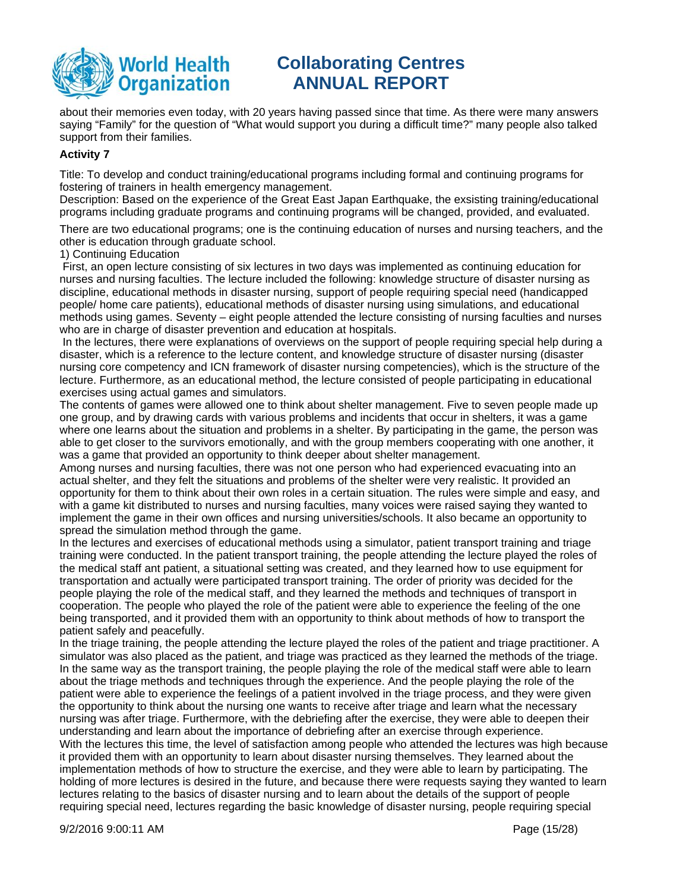

about their memories even today, with 20 years having passed since that time. As there were many answers saying "Family" for the question of "What would support you during a difficult time?" many people also talked support from their families.

### **Activity 7**

Title: To develop and conduct training/educational programs including formal and continuing programs for fostering of trainers in health emergency management.

Description: Based on the experience of the Great East Japan Earthquake, the exsisting training/educational programs including graduate programs and continuing programs will be changed, provided, and evaluated.

There are two educational programs; one is the continuing education of nurses and nursing teachers, and the other is education through graduate school.

1) Continuing Education

 First, an open lecture consisting of six lectures in two days was implemented as continuing education for nurses and nursing faculties. The lecture included the following: knowledge structure of disaster nursing as discipline, educational methods in disaster nursing, support of people requiring special need (handicapped people/ home care patients), educational methods of disaster nursing using simulations, and educational methods using games. Seventy – eight people attended the lecture consisting of nursing faculties and nurses who are in charge of disaster prevention and education at hospitals.

 In the lectures, there were explanations of overviews on the support of people requiring special help during a disaster, which is a reference to the lecture content, and knowledge structure of disaster nursing (disaster nursing core competency and ICN framework of disaster nursing competencies), which is the structure of the lecture. Furthermore, as an educational method, the lecture consisted of people participating in educational exercises using actual games and simulators.

The contents of games were allowed one to think about shelter management. Five to seven people made up one group, and by drawing cards with various problems and incidents that occur in shelters, it was a game where one learns about the situation and problems in a shelter. By participating in the game, the person was able to get closer to the survivors emotionally, and with the group members cooperating with one another, it was a game that provided an opportunity to think deeper about shelter management.

Among nurses and nursing faculties, there was not one person who had experienced evacuating into an actual shelter, and they felt the situations and problems of the shelter were very realistic. It provided an opportunity for them to think about their own roles in a certain situation. The rules were simple and easy, and with a game kit distributed to nurses and nursing faculties, many voices were raised saying they wanted to implement the game in their own offices and nursing universities/schools. It also became an opportunity to spread the simulation method through the game.

In the lectures and exercises of educational methods using a simulator, patient transport training and triage training were conducted. In the patient transport training, the people attending the lecture played the roles of the medical staff ant patient, a situational setting was created, and they learned how to use equipment for transportation and actually were participated transport training. The order of priority was decided for the people playing the role of the medical staff, and they learned the methods and techniques of transport in cooperation. The people who played the role of the patient were able to experience the feeling of the one being transported, and it provided them with an opportunity to think about methods of how to transport the patient safely and peacefully.

In the triage training, the people attending the lecture played the roles of the patient and triage practitioner. A simulator was also placed as the patient, and triage was practiced as they learned the methods of the triage. In the same way as the transport training, the people playing the role of the medical staff were able to learn about the triage methods and techniques through the experience. And the people playing the role of the patient were able to experience the feelings of a patient involved in the triage process, and they were given the opportunity to think about the nursing one wants to receive after triage and learn what the necessary nursing was after triage. Furthermore, with the debriefing after the exercise, they were able to deepen their understanding and learn about the importance of debriefing after an exercise through experience. With the lectures this time, the level of satisfaction among people who attended the lectures was high because it provided them with an opportunity to learn about disaster nursing themselves. They learned about the implementation methods of how to structure the exercise, and they were able to learn by participating. The holding of more lectures is desired in the future, and because there were requests saying they wanted to learn lectures relating to the basics of disaster nursing and to learn about the details of the support of people requiring special need, lectures regarding the basic knowledge of disaster nursing, people requiring special

9/2/2016 9:00:11 AM Page (15/28)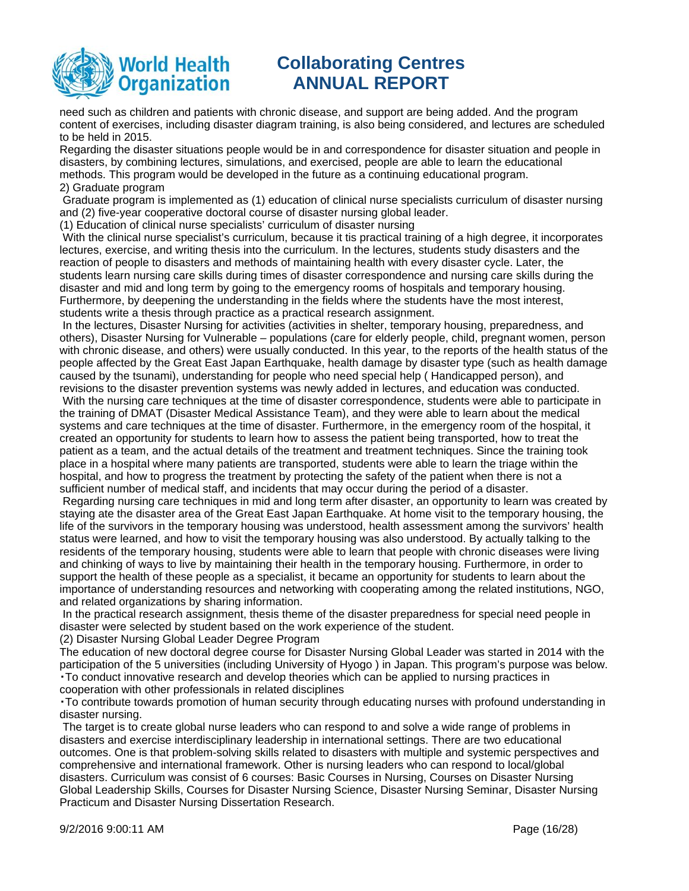

need such as children and patients with chronic disease, and support are being added. And the program content of exercises, including disaster diagram training, is also being considered, and lectures are scheduled to be held in 2015.

Regarding the disaster situations people would be in and correspondence for disaster situation and people in disasters, by combining lectures, simulations, and exercised, people are able to learn the educational methods. This program would be developed in the future as a continuing educational program. 2) Graduate program

 Graduate program is implemented as (1) education of clinical nurse specialists curriculum of disaster nursing and (2) five-year cooperative doctoral course of disaster nursing global leader.

(1) Education of clinical nurse specialists' curriculum of disaster nursing

 With the clinical nurse specialist's curriculum, because it tis practical training of a high degree, it incorporates lectures, exercise, and writing thesis into the curriculum. In the lectures, students study disasters and the reaction of people to disasters and methods of maintaining health with every disaster cycle. Later, the students learn nursing care skills during times of disaster correspondence and nursing care skills during the disaster and mid and long term by going to the emergency rooms of hospitals and temporary housing. Furthermore, by deepening the understanding in the fields where the students have the most interest, students write a thesis through practice as a practical research assignment.

 In the lectures, Disaster Nursing for activities (activities in shelter, temporary housing, preparedness, and others), Disaster Nursing for Vulnerable – populations (care for elderly people, child, pregnant women, person with chronic disease, and others) were usually conducted. In this year, to the reports of the health status of the people affected by the Great East Japan Earthquake, health damage by disaster type (such as health damage caused by the tsunami), understanding for people who need special help ( Handicapped person), and revisions to the disaster prevention systems was newly added in lectures, and education was conducted. With the nursing care techniques at the time of disaster correspondence, students were able to participate in the training of DMAT (Disaster Medical Assistance Team), and they were able to learn about the medical systems and care techniques at the time of disaster. Furthermore, in the emergency room of the hospital, it created an opportunity for students to learn how to assess the patient being transported, how to treat the patient as a team, and the actual details of the treatment and treatment techniques. Since the training took place in a hospital where many patients are transported, students were able to learn the triage within the hospital, and how to progress the treatment by protecting the safety of the patient when there is not a sufficient number of medical staff, and incidents that may occur during the period of a disaster.

 Regarding nursing care techniques in mid and long term after disaster, an opportunity to learn was created by staying ate the disaster area of the Great East Japan Earthquake. At home visit to the temporary housing, the life of the survivors in the temporary housing was understood, health assessment among the survivors' health status were learned, and how to visit the temporary housing was also understood. By actually talking to the residents of the temporary housing, students were able to learn that people with chronic diseases were living and chinking of ways to live by maintaining their health in the temporary housing. Furthermore, in order to support the health of these people as a specialist, it became an opportunity for students to learn about the importance of understanding resources and networking with cooperating among the related institutions, NGO, and related organizations by sharing information.

 In the practical research assignment, thesis theme of the disaster preparedness for special need people in disaster were selected by student based on the work experience of the student.

(2) Disaster Nursing Global Leader Degree Program

The education of new doctoral degree course for Disaster Nursing Global Leader was started in 2014 with the participation of the 5 universities (including University of Hyogo ) in Japan. This program's purpose was below. 䞉To conduct innovative research and develop theories which can be applied to nursing practices in cooperation with other professionals in related disciplines

䞉To contribute towards promotion of human security through educating nurses with profound understanding in disaster nursing.

 The target is to create global nurse leaders who can respond to and solve a wide range of problems in disasters and exercise interdisciplinary leadership in international settings. There are two educational outcomes. One is that problem-solving skills related to disasters with multiple and systemic perspectives and comprehensive and international framework. Other is nursing leaders who can respond to local/global disasters. Curriculum was consist of 6 courses: Basic Courses in Nursing, Courses on Disaster Nursing Global Leadership Skills, Courses for Disaster Nursing Science, Disaster Nursing Seminar, Disaster Nursing Practicum and Disaster Nursing Dissertation Research.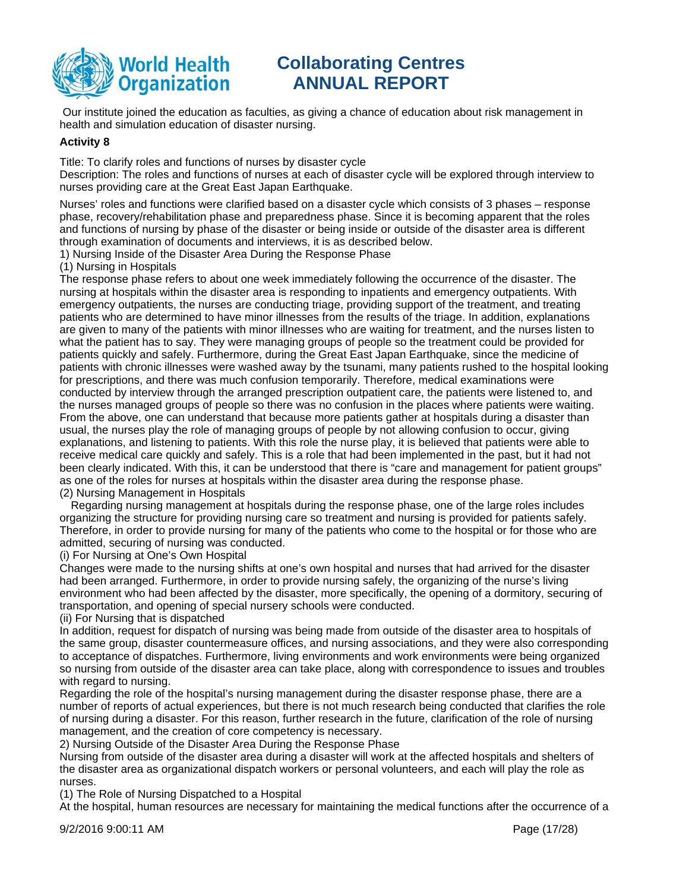

 Our institute joined the education as faculties, as giving a chance of education about risk management in health and simulation education of disaster nursing.

### **Activity 8**

Title: To clarify roles and functions of nurses by disaster cycle

Description: The roles and functions of nurses at each of disaster cycle will be explored through interview to nurses providing care at the Great East Japan Earthquake.

Nurses' roles and functions were clarified based on a disaster cycle which consists of 3 phases – response phase, recovery/rehabilitation phase and preparedness phase. Since it is becoming apparent that the roles and functions of nursing by phase of the disaster or being inside or outside of the disaster area is different through examination of documents and interviews, it is as described below.

1) Nursing Inside of the Disaster Area During the Response Phase

(1) Nursing in Hospitals

The response phase refers to about one week immediately following the occurrence of the disaster. The nursing at hospitals within the disaster area is responding to inpatients and emergency outpatients. With emergency outpatients, the nurses are conducting triage, providing support of the treatment, and treating patients who are determined to have minor illnesses from the results of the triage. In addition, explanations are given to many of the patients with minor illnesses who are waiting for treatment, and the nurses listen to what the patient has to say. They were managing groups of people so the treatment could be provided for patients quickly and safely. Furthermore, during the Great East Japan Earthquake, since the medicine of patients with chronic illnesses were washed away by the tsunami, many patients rushed to the hospital looking for prescriptions, and there was much confusion temporarily. Therefore, medical examinations were conducted by interview through the arranged prescription outpatient care, the patients were listened to, and the nurses managed groups of people so there was no confusion in the places where patients were waiting. From the above, one can understand that because more patients gather at hospitals during a disaster than usual, the nurses play the role of managing groups of people by not allowing confusion to occur, giving explanations, and listening to patients. With this role the nurse play, it is believed that patients were able to receive medical care quickly and safely. This is a role that had been implemented in the past, but it had not been clearly indicated. With this, it can be understood that there is "care and management for patient groups" as one of the roles for nurses at hospitals within the disaster area during the response phase. (2) Nursing Management in Hospitals

Regarding nursing management at hospitals during the response phase, one of the large roles includes organizing the structure for providing nursing care so treatment and nursing is provided for patients safely. Therefore, in order to provide nursing for many of the patients who come to the hospital or for those who are admitted, securing of nursing was conducted.

(i) For Nursing at One's Own Hospital

Changes were made to the nursing shifts at one's own hospital and nurses that had arrived for the disaster had been arranged. Furthermore, in order to provide nursing safely, the organizing of the nurse's living environment who had been affected by the disaster, more specifically, the opening of a dormitory, securing of transportation, and opening of special nursery schools were conducted.

(ii) For Nursing that is dispatched

In addition, request for dispatch of nursing was being made from outside of the disaster area to hospitals of the same group, disaster countermeasure offices, and nursing associations, and they were also corresponding to acceptance of dispatches. Furthermore, living environments and work environments were being organized so nursing from outside of the disaster area can take place, along with correspondence to issues and troubles with regard to nursing.

Regarding the role of the hospital's nursing management during the disaster response phase, there are a number of reports of actual experiences, but there is not much research being conducted that clarifies the role of nursing during a disaster. For this reason, further research in the future, clarification of the role of nursing management, and the creation of core competency is necessary.

2) Nursing Outside of the Disaster Area During the Response Phase

Nursing from outside of the disaster area during a disaster will work at the affected hospitals and shelters of the disaster area as organizational dispatch workers or personal volunteers, and each will play the role as nurses.

(1) The Role of Nursing Dispatched to a Hospital

At the hospital, human resources are necessary for maintaining the medical functions after the occurrence of a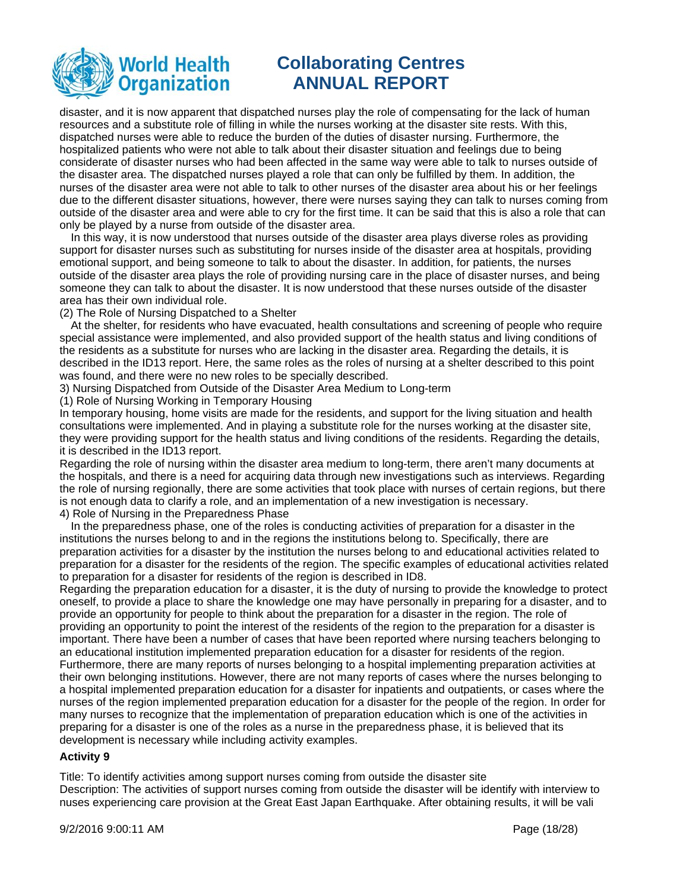

disaster, and it is now apparent that dispatched nurses play the role of compensating for the lack of human resources and a substitute role of filling in while the nurses working at the disaster site rests. With this, dispatched nurses were able to reduce the burden of the duties of disaster nursing. Furthermore, the hospitalized patients who were not able to talk about their disaster situation and feelings due to being considerate of disaster nurses who had been affected in the same way were able to talk to nurses outside of the disaster area. The dispatched nurses played a role that can only be fulfilled by them. In addition, the nurses of the disaster area were not able to talk to other nurses of the disaster area about his or her feelings due to the different disaster situations, however, there were nurses saying they can talk to nurses coming from outside of the disaster area and were able to cry for the first time. It can be said that this is also a role that can only be played by a nurse from outside of the disaster area.

In this way, it is now understood that nurses outside of the disaster area plays diverse roles as providing support for disaster nurses such as substituting for nurses inside of the disaster area at hospitals, providing emotional support, and being someone to talk to about the disaster. In addition, for patients, the nurses outside of the disaster area plays the role of providing nursing care in the place of disaster nurses, and being someone they can talk to about the disaster. It is now understood that these nurses outside of the disaster area has their own individual role.

(2) The Role of Nursing Dispatched to a Shelter

At the shelter, for residents who have evacuated, health consultations and screening of people who require special assistance were implemented, and also provided support of the health status and living conditions of the residents as a substitute for nurses who are lacking in the disaster area. Regarding the details, it is described in the ID13 report. Here, the same roles as the roles of nursing at a shelter described to this point was found, and there were no new roles to be specially described.

3) Nursing Dispatched from Outside of the Disaster Area Medium to Long-term

(1) Role of Nursing Working in Temporary Housing

In temporary housing, home visits are made for the residents, and support for the living situation and health consultations were implemented. And in playing a substitute role for the nurses working at the disaster site, they were providing support for the health status and living conditions of the residents. Regarding the details, it is described in the ID13 report.

Regarding the role of nursing within the disaster area medium to long-term, there aren't many documents at the hospitals, and there is a need for acquiring data through new investigations such as interviews. Regarding the role of nursing regionally, there are some activities that took place with nurses of certain regions, but there is not enough data to clarify a role, and an implementation of a new investigation is necessary.

4) Role of Nursing in the Preparedness Phase

development is necessary while including activity examples.

In the preparedness phase, one of the roles is conducting activities of preparation for a disaster in the institutions the nurses belong to and in the regions the institutions belong to. Specifically, there are preparation activities for a disaster by the institution the nurses belong to and educational activities related to preparation for a disaster for the residents of the region. The specific examples of educational activities related to preparation for a disaster for residents of the region is described in ID8.

Regarding the preparation education for a disaster, it is the duty of nursing to provide the knowledge to protect oneself, to provide a place to share the knowledge one may have personally in preparing for a disaster, and to provide an opportunity for people to think about the preparation for a disaster in the region. The role of providing an opportunity to point the interest of the residents of the region to the preparation for a disaster is important. There have been a number of cases that have been reported where nursing teachers belonging to an educational institution implemented preparation education for a disaster for residents of the region. Furthermore, there are many reports of nurses belonging to a hospital implementing preparation activities at their own belonging institutions. However, there are not many reports of cases where the nurses belonging to a hospital implemented preparation education for a disaster for inpatients and outpatients, or cases where the nurses of the region implemented preparation education for a disaster for the people of the region. In order for many nurses to recognize that the implementation of preparation education which is one of the activities in

### **Activity 9**

Title: To identify activities among support nurses coming from outside the disaster site Description: The activities of support nurses coming from outside the disaster will be identify with interview to nuses experiencing care provision at the Great East Japan Earthquake. After obtaining results, it will be vali

preparing for a disaster is one of the roles as a nurse in the preparedness phase, it is believed that its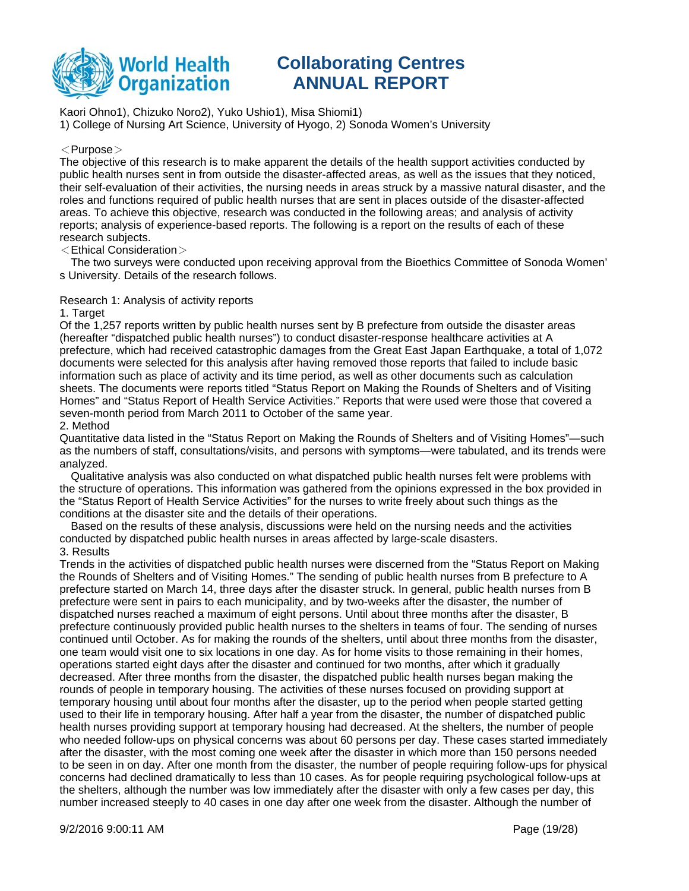

Kaori Ohno1), Chizuko Noro2), Yuko Ushio1), Misa Shiomi1)

1) College of Nursing Art Science, University of Hyogo, 2) Sonoda Women's University

### $<$ Purpose $>$

The objective of this research is to make apparent the details of the health support activities conducted by public health nurses sent in from outside the disaster-affected areas, as well as the issues that they noticed, their self-evaluation of their activities, the nursing needs in areas struck by a massive natural disaster, and the roles and functions required of public health nurses that are sent in places outside of the disaster-affected areas. To achieve this objective, research was conducted in the following areas; and analysis of activity reports; analysis of experience-based reports. The following is a report on the results of each of these research subjects.

#### $\leq$ Ethical Consideration $>$

The two surveys were conducted upon receiving approval from the Bioethics Committee of Sonoda Women' s University. Details of the research follows.

### Research 1: Analysis of activity reports

#### 1. Target

Of the 1,257 reports written by public health nurses sent by B prefecture from outside the disaster areas (hereafter "dispatched public health nurses") to conduct disaster-response healthcare activities at A prefecture, which had received catastrophic damages from the Great East Japan Earthquake, a total of 1,072 documents were selected for this analysis after having removed those reports that failed to include basic information such as place of activity and its time period, as well as other documents such as calculation sheets. The documents were reports titled "Status Report on Making the Rounds of Shelters and of Visiting Homes" and "Status Report of Health Service Activities." Reports that were used were those that covered a seven-month period from March 2011 to October of the same year.

#### 2. Method

Quantitative data listed in the "Status Report on Making the Rounds of Shelters and of Visiting Homes"—such as the numbers of staff, consultations/visits, and persons with symptoms—were tabulated, and its trends were analyzed.

Qualitative analysis was also conducted on what dispatched public health nurses felt were problems with the structure of operations. This information was gathered from the opinions expressed in the box provided in the "Status Report of Health Service Activities" for the nurses to write freely about such things as the conditions at the disaster site and the details of their operations.

Based on the results of these analysis, discussions were held on the nursing needs and the activities conducted by dispatched public health nurses in areas affected by large-scale disasters. 3. Results

Trends in the activities of dispatched public health nurses were discerned from the "Status Report on Making the Rounds of Shelters and of Visiting Homes." The sending of public health nurses from B prefecture to A prefecture started on March 14, three days after the disaster struck. In general, public health nurses from B prefecture were sent in pairs to each municipality, and by two-weeks after the disaster, the number of dispatched nurses reached a maximum of eight persons. Until about three months after the disaster, B prefecture continuously provided public health nurses to the shelters in teams of four. The sending of nurses continued until October. As for making the rounds of the shelters, until about three months from the disaster, one team would visit one to six locations in one day. As for home visits to those remaining in their homes, operations started eight days after the disaster and continued for two months, after which it gradually decreased. After three months from the disaster, the dispatched public health nurses began making the rounds of people in temporary housing. The activities of these nurses focused on providing support at temporary housing until about four months after the disaster, up to the period when people started getting used to their life in temporary housing. After half a year from the disaster, the number of dispatched public health nurses providing support at temporary housing had decreased. At the shelters, the number of people who needed follow-ups on physical concerns was about 60 persons per day. These cases started immediately after the disaster, with the most coming one week after the disaster in which more than 150 persons needed to be seen in on day. After one month from the disaster, the number of people requiring follow-ups for physical concerns had declined dramatically to less than 10 cases. As for people requiring psychological follow-ups at the shelters, although the number was low immediately after the disaster with only a few cases per day, this number increased steeply to 40 cases in one day after one week from the disaster. Although the number of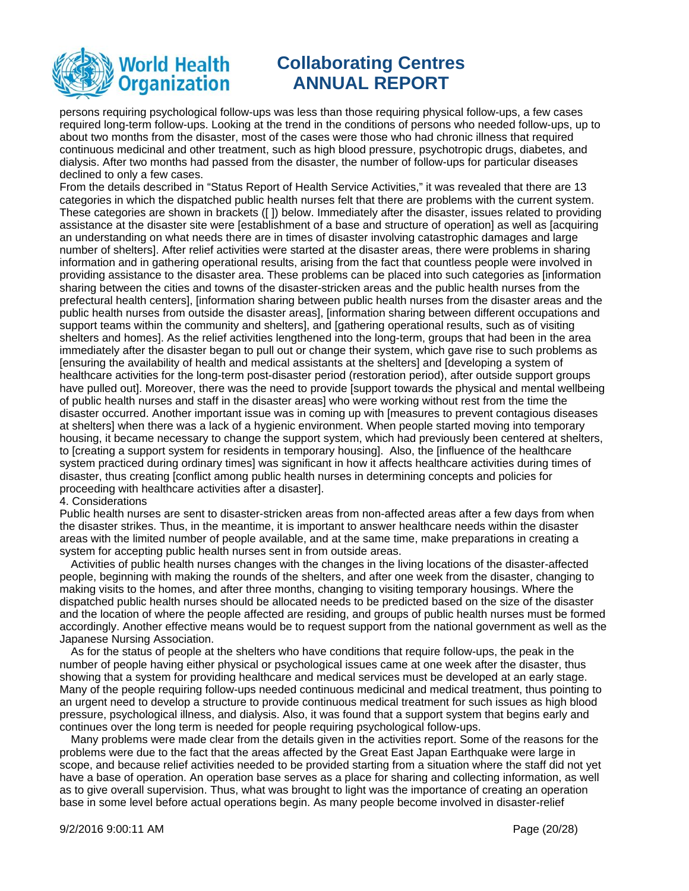

persons requiring psychological follow-ups was less than those requiring physical follow-ups, a few cases required long-term follow-ups. Looking at the trend in the conditions of persons who needed follow-ups, up to about two months from the disaster, most of the cases were those who had chronic illness that required continuous medicinal and other treatment, such as high blood pressure, psychotropic drugs, diabetes, and dialysis. After two months had passed from the disaster, the number of follow-ups for particular diseases declined to only a few cases.

From the details described in "Status Report of Health Service Activities," it was revealed that there are 13 categories in which the dispatched public health nurses felt that there are problems with the current system. These categories are shown in brackets ([ ]) below. Immediately after the disaster, issues related to providing assistance at the disaster site were [establishment of a base and structure of operation] as well as [acquiring an understanding on what needs there are in times of disaster involving catastrophic damages and large number of shelters]. After relief activities were started at the disaster areas, there were problems in sharing information and in gathering operational results, arising from the fact that countless people were involved in providing assistance to the disaster area. These problems can be placed into such categories as [information sharing between the cities and towns of the disaster-stricken areas and the public health nurses from the prefectural health centers], [information sharing between public health nurses from the disaster areas and the public health nurses from outside the disaster areas], [information sharing between different occupations and support teams within the community and shelters], and [gathering operational results, such as of visiting shelters and homes]. As the relief activities lengthened into the long-term, groups that had been in the area immediately after the disaster began to pull out or change their system, which gave rise to such problems as [ensuring the availability of health and medical assistants at the shelters] and [developing a system of healthcare activities for the long-term post-disaster period (restoration period), after outside support groups have pulled out]. Moreover, there was the need to provide [support towards the physical and mental wellbeing of public health nurses and staff in the disaster areas] who were working without rest from the time the disaster occurred. Another important issue was in coming up with [measures to prevent contagious diseases at shelters] when there was a lack of a hygienic environment. When people started moving into temporary housing, it became necessary to change the support system, which had previously been centered at shelters, to [creating a support system for residents in temporary housing]. Also, the [influence of the healthcare system practiced during ordinary times] was significant in how it affects healthcare activities during times of disaster, thus creating [conflict among public health nurses in determining concepts and policies for proceeding with healthcare activities after a disaster].

#### 4. Considerations

Public health nurses are sent to disaster-stricken areas from non-affected areas after a few days from when the disaster strikes. Thus, in the meantime, it is important to answer healthcare needs within the disaster areas with the limited number of people available, and at the same time, make preparations in creating a system for accepting public health nurses sent in from outside areas.

Activities of public health nurses changes with the changes in the living locations of the disaster-affected people, beginning with making the rounds of the shelters, and after one week from the disaster, changing to making visits to the homes, and after three months, changing to visiting temporary housings. Where the dispatched public health nurses should be allocated needs to be predicted based on the size of the disaster and the location of where the people affected are residing, and groups of public health nurses must be formed accordingly. Another effective means would be to request support from the national government as well as the Japanese Nursing Association.

As for the status of people at the shelters who have conditions that require follow-ups, the peak in the number of people having either physical or psychological issues came at one week after the disaster, thus showing that a system for providing healthcare and medical services must be developed at an early stage. Many of the people requiring follow-ups needed continuous medicinal and medical treatment, thus pointing to an urgent need to develop a structure to provide continuous medical treatment for such issues as high blood pressure, psychological illness, and dialysis. Also, it was found that a support system that begins early and continues over the long term is needed for people requiring psychological follow-ups.

Many problems were made clear from the details given in the activities report. Some of the reasons for the problems were due to the fact that the areas affected by the Great East Japan Earthquake were large in scope, and because relief activities needed to be provided starting from a situation where the staff did not yet have a base of operation. An operation base serves as a place for sharing and collecting information, as well as to give overall supervision. Thus, what was brought to light was the importance of creating an operation base in some level before actual operations begin. As many people become involved in disaster-relief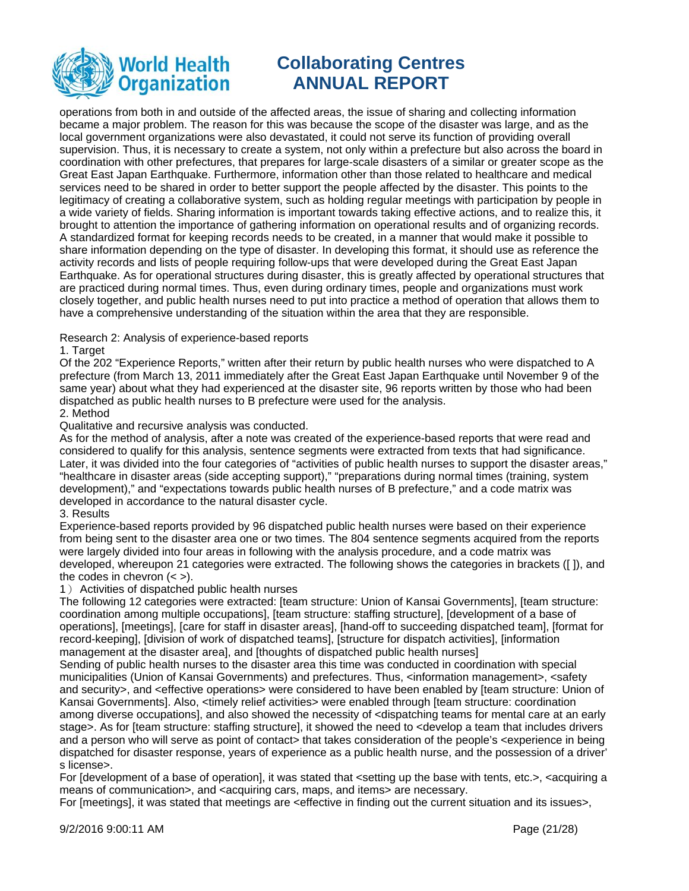

operations from both in and outside of the affected areas, the issue of sharing and collecting information became a major problem. The reason for this was because the scope of the disaster was large, and as the local government organizations were also devastated, it could not serve its function of providing overall supervision. Thus, it is necessary to create a system, not only within a prefecture but also across the board in coordination with other prefectures, that prepares for large-scale disasters of a similar or greater scope as the Great East Japan Earthquake. Furthermore, information other than those related to healthcare and medical services need to be shared in order to better support the people affected by the disaster. This points to the legitimacy of creating a collaborative system, such as holding regular meetings with participation by people in a wide variety of fields. Sharing information is important towards taking effective actions, and to realize this, it brought to attention the importance of gathering information on operational results and of organizing records. A standardized format for keeping records needs to be created, in a manner that would make it possible to share information depending on the type of disaster. In developing this format, it should use as reference the activity records and lists of people requiring follow-ups that were developed during the Great East Japan Earthquake. As for operational structures during disaster, this is greatly affected by operational structures that are practiced during normal times. Thus, even during ordinary times, people and organizations must work closely together, and public health nurses need to put into practice a method of operation that allows them to have a comprehensive understanding of the situation within the area that they are responsible.

Research 2: Analysis of experience-based reports

#### 1. Target

Of the 202 "Experience Reports," written after their return by public health nurses who were dispatched to A prefecture (from March 13, 2011 immediately after the Great East Japan Earthquake until November 9 of the same year) about what they had experienced at the disaster site, 96 reports written by those who had been dispatched as public health nurses to B prefecture were used for the analysis.

#### 2. Method

Qualitative and recursive analysis was conducted.

As for the method of analysis, after a note was created of the experience-based reports that were read and considered to qualify for this analysis, sentence segments were extracted from texts that had significance. Later, it was divided into the four categories of "activities of public health nurses to support the disaster areas," "healthcare in disaster areas (side accepting support)," "preparations during normal times (training, system development)," and "expectations towards public health nurses of B prefecture," and a code matrix was developed in accordance to the natural disaster cycle.

### 3. Results

Experience-based reports provided by 96 dispatched public health nurses were based on their experience from being sent to the disaster area one or two times. The 804 sentence segments acquired from the reports were largely divided into four areas in following with the analysis procedure, and a code matrix was developed, whereupon 21 categories were extracted. The following shows the categories in brackets ([ ]), and the codes in chevron  $(<$ ).

#### 1) Activities of dispatched public health nurses

The following 12 categories were extracted: [team structure: Union of Kansai Governments], [team structure: coordination among multiple occupations], [team structure: staffing structure], [development of a base of operations], [meetings], [care for staff in disaster areas], [hand-off to succeeding dispatched team], [format for record-keeping], [division of work of dispatched teams], [structure for dispatch activities], [information management at the disaster area], and [thoughts of dispatched public health nurses]

Sending of public health nurses to the disaster area this time was conducted in coordination with special municipalities (Union of Kansai Governments) and prefectures. Thus, <information management>, <safety and security>, and <effective operations> were considered to have been enabled by [team structure: Union of Kansai Governments]. Also, <timely relief activities> were enabled through [team structure: coordination among diverse occupations], and also showed the necessity of <dispatching teams for mental care at an early stage>. As for [team structure: staffing structure], it showed the need to <develop a team that includes drivers and a person who will serve as point of contact> that takes consideration of the people's <experience in being dispatched for disaster response, years of experience as a public health nurse, and the possession of a driver' s license>.

For [development of a base of operation], it was stated that <setting up the base with tents, etc.>, <acquiring a means of communication>, and <acquiring cars, maps, and items> are necessary.

For [meetings], it was stated that meetings are <effective in finding out the current situation and its issues>,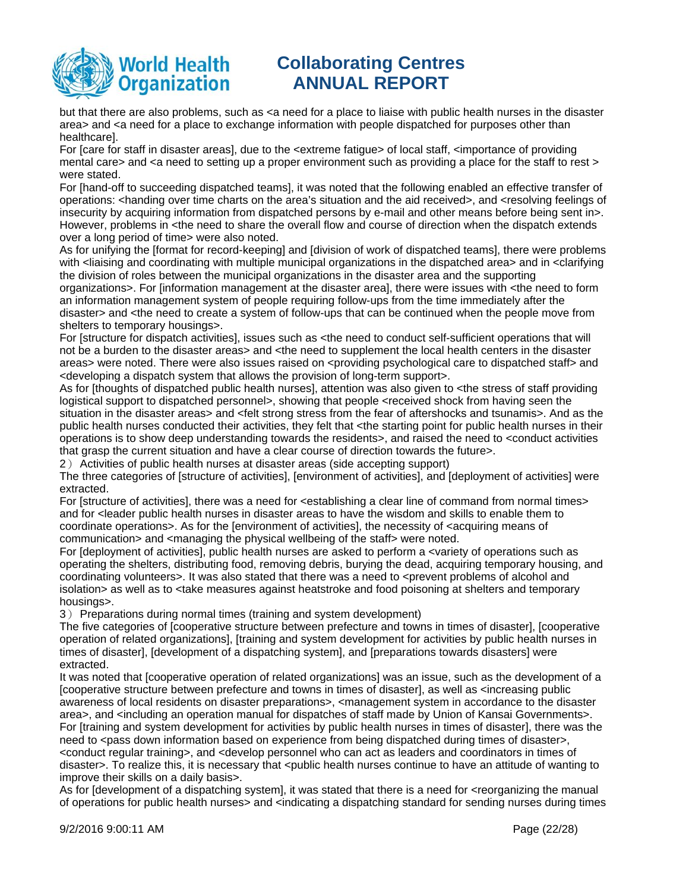

but that there are also problems, such as <a need for a place to liaise with public health nurses in the disaster area> and <a need for a place to exchange information with people dispatched for purposes other than healthcare].

For [care for staff in disaster areas], due to the <extreme fatigue> of local staff, <importance of providing mental care> and <a need to setting up a proper environment such as providing a place for the staff to rest > were stated.

For [hand-off to succeeding dispatched teams], it was noted that the following enabled an effective transfer of operations: <handing over time charts on the area's situation and the aid received>, and <resolving feelings of insecurity by acquiring information from dispatched persons by e-mail and other means before being sent in>. However, problems in <the need to share the overall flow and course of direction when the dispatch extends over a long period of time> were also noted.

As for unifying the [format for record-keeping] and [division of work of dispatched teams], there were problems with <liaising and coordinating with multiple municipal organizations in the dispatched area> and in <clarifying the division of roles between the municipal organizations in the disaster area and the supporting

organizations>. For [information management at the disaster area], there were issues with <the need to form an information management system of people requiring follow-ups from the time immediately after the disaster> and <the need to create a system of follow-ups that can be continued when the people move from shelters to temporary housings>.

For [structure for dispatch activities], issues such as <the need to conduct self-sufficient operations that will not be a burden to the disaster areas> and <the need to supplement the local health centers in the disaster areas> were noted. There were also issues raised on <providing psychological care to dispatched staff> and <developing a dispatch system that allows the provision of long-term support>.

As for [thoughts of dispatched public health nurses], attention was also given to <the stress of staff providing logistical support to dispatched personnel>, showing that people <received shock from having seen the situation in the disaster areas> and <felt strong stress from the fear of aftershocks and tsunamis>. And as the public health nurses conducted their activities, they felt that <the starting point for public health nurses in their operations is to show deep understanding towards the residents>, and raised the need to <conduct activities that grasp the current situation and have a clear course of direction towards the future>.

2) Activities of public health nurses at disaster areas (side accepting support)

The three categories of [structure of activities], [environment of activities], and [deployment of activities] were extracted.

For [structure of activities], there was a need for <establishing a clear line of command from normal times> and for <leader public health nurses in disaster areas to have the wisdom and skills to enable them to coordinate operations>. As for the [environment of activities], the necessity of <acquiring means of communication> and <managing the physical wellbeing of the staff> were noted.

For [deployment of activities], public health nurses are asked to perform a <variety of operations such as operating the shelters, distributing food, removing debris, burying the dead, acquiring temporary housing, and coordinating volunteers>. It was also stated that there was a need to <prevent problems of alcohol and isolation> as well as to <take measures against heatstroke and food poisoning at shelters and temporary housings>.

3) Preparations during normal times (training and system development)

The five categories of [cooperative structure between prefecture and towns in times of disaster], [cooperative operation of related organizations], [training and system development for activities by public health nurses in times of disaster], [development of a dispatching system], and [preparations towards disasters] were extracted.

It was noted that [cooperative operation of related organizations] was an issue, such as the development of a [cooperative structure between prefecture and towns in times of disaster], as well as <increasing public awareness of local residents on disaster preparations>, <management system in accordance to the disaster area>, and <including an operation manual for dispatches of staff made by Union of Kansai Governments>. For [training and system development for activities by public health nurses in times of disaster], there was the need to <pass down information based on experience from being dispatched during times of disaster>, <conduct regular training>, and <develop personnel who can act as leaders and coordinators in times of disaster>. To realize this, it is necessary that <public health nurses continue to have an attitude of wanting to improve their skills on a daily basis>.

As for [development of a dispatching system], it was stated that there is a need for <reorganizing the manual of operations for public health nurses> and <indicating a dispatching standard for sending nurses during times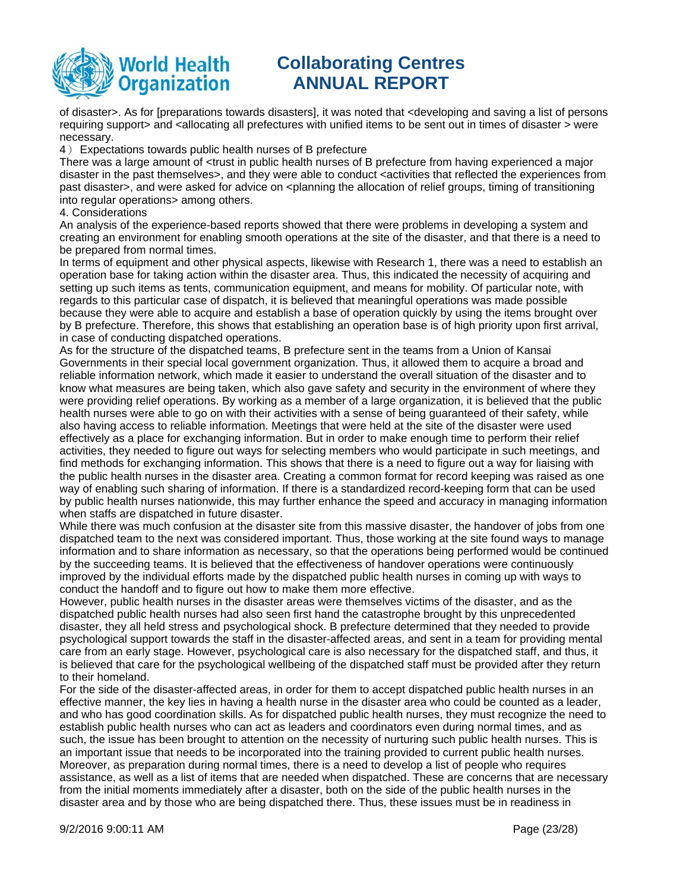

of disaster>. As for [preparations towards disasters], it was noted that <developing and saving a list of persons requiring support> and <allocating all prefectures with unified items to be sent out in times of disaster > were necessary.

4) Expectations towards public health nurses of B prefecture

There was a large amount of <trust in public health nurses of B prefecture from having experienced a major disaster in the past themselves>, and they were able to conduct <activities that reflected the experiences from past disaster>, and were asked for advice on <planning the allocation of relief groups, timing of transitioning into regular operations> among others.

4. Considerations

An analysis of the experience-based reports showed that there were problems in developing a system and creating an environment for enabling smooth operations at the site of the disaster, and that there is a need to be prepared from normal times.

In terms of equipment and other physical aspects, likewise with Research 1, there was a need to establish an operation base for taking action within the disaster area. Thus, this indicated the necessity of acquiring and setting up such items as tents, communication equipment, and means for mobility. Of particular note, with regards to this particular case of dispatch, it is believed that meaningful operations was made possible because they were able to acquire and establish a base of operation quickly by using the items brought over by B prefecture. Therefore, this shows that establishing an operation base is of high priority upon first arrival, in case of conducting dispatched operations.

As for the structure of the dispatched teams, B prefecture sent in the teams from a Union of Kansai Governments in their special local government organization. Thus, it allowed them to acquire a broad and reliable information network, which made it easier to understand the overall situation of the disaster and to know what measures are being taken, which also gave safety and security in the environment of where they were providing relief operations. By working as a member of a large organization, it is believed that the public health nurses were able to go on with their activities with a sense of being guaranteed of their safety, while also having access to reliable information. Meetings that were held at the site of the disaster were used effectively as a place for exchanging information. But in order to make enough time to perform their relief activities, they needed to figure out ways for selecting members who would participate in such meetings, and find methods for exchanging information. This shows that there is a need to figure out a way for liaising with the public health nurses in the disaster area. Creating a common format for record keeping was raised as one way of enabling such sharing of information. If there is a standardized record-keeping form that can be used by public health nurses nationwide, this may further enhance the speed and accuracy in managing information when staffs are dispatched in future disaster.

While there was much confusion at the disaster site from this massive disaster, the handover of jobs from one dispatched team to the next was considered important. Thus, those working at the site found ways to manage information and to share information as necessary, so that the operations being performed would be continued by the succeeding teams. It is believed that the effectiveness of handover operations were continuously improved by the individual efforts made by the dispatched public health nurses in coming up with ways to conduct the handoff and to figure out how to make them more effective.

However, public health nurses in the disaster areas were themselves victims of the disaster, and as the dispatched public health nurses had also seen first hand the catastrophe brought by this unprecedented disaster, they all held stress and psychological shock. B prefecture determined that they needed to provide psychological support towards the staff in the disaster-affected areas, and sent in a team for providing mental care from an early stage. However, psychological care is also necessary for the dispatched staff, and thus, it is believed that care for the psychological wellbeing of the dispatched staff must be provided after they return to their homeland.

For the side of the disaster-affected areas, in order for them to accept dispatched public health nurses in an effective manner, the key lies in having a health nurse in the disaster area who could be counted as a leader, and who has good coordination skills. As for dispatched public health nurses, they must recognize the need to establish public health nurses who can act as leaders and coordinators even during normal times, and as such, the issue has been brought to attention on the necessity of nurturing such public health nurses. This is an important issue that needs to be incorporated into the training provided to current public health nurses. Moreover, as preparation during normal times, there is a need to develop a list of people who requires assistance, as well as a list of items that are needed when dispatched. These are concerns that are necessary from the initial moments immediately after a disaster, both on the side of the public health nurses in the disaster area and by those who are being dispatched there. Thus, these issues must be in readiness in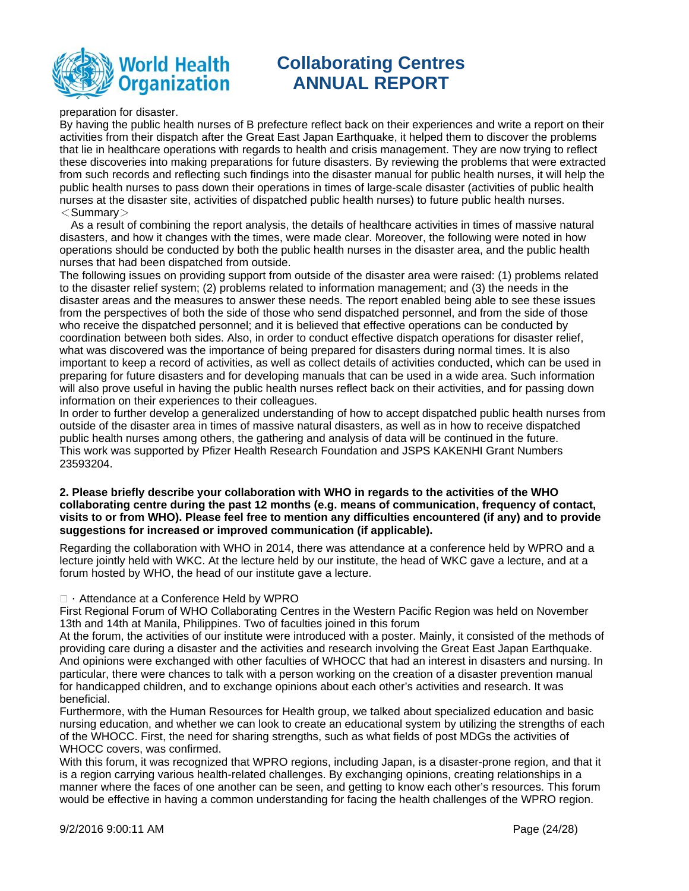

preparation for disaster.

By having the public health nurses of B prefecture reflect back on their experiences and write a report on their activities from their dispatch after the Great East Japan Earthquake, it helped them to discover the problems that lie in healthcare operations with regards to health and crisis management. They are now trying to reflect these discoveries into making preparations for future disasters. By reviewing the problems that were extracted from such records and reflecting such findings into the disaster manual for public health nurses, it will help the public health nurses to pass down their operations in times of large-scale disaster (activities of public health nurses at the disaster site, activities of dispatched public health nurses) to future public health nurses.  $<$ Summary $>$ 

As a result of combining the report analysis, the details of healthcare activities in times of massive natural disasters, and how it changes with the times, were made clear. Moreover, the following were noted in how operations should be conducted by both the public health nurses in the disaster area, and the public health nurses that had been dispatched from outside.

The following issues on providing support from outside of the disaster area were raised: (1) problems related to the disaster relief system; (2) problems related to information management; and (3) the needs in the disaster areas and the measures to answer these needs. The report enabled being able to see these issues from the perspectives of both the side of those who send dispatched personnel, and from the side of those who receive the dispatched personnel; and it is believed that effective operations can be conducted by coordination between both sides. Also, in order to conduct effective dispatch operations for disaster relief, what was discovered was the importance of being prepared for disasters during normal times. It is also important to keep a record of activities, as well as collect details of activities conducted, which can be used in preparing for future disasters and for developing manuals that can be used in a wide area. Such information will also prove useful in having the public health nurses reflect back on their activities, and for passing down information on their experiences to their colleagues.

In order to further develop a generalized understanding of how to accept dispatched public health nurses from outside of the disaster area in times of massive natural disasters, as well as in how to receive dispatched public health nurses among others, the gathering and analysis of data will be continued in the future. This work was supported by Pfizer Health Research Foundation and JSPS KAKENHI Grant Numbers 23593204.

### **2. Please briefly describe your collaboration with WHO in regards to the activities of the WHO collaborating centre during the past 12 months (e.g. means of communication, frequency of contact, visits to or from WHO). Please feel free to mention any difficulties encountered (if any) and to provide suggestions for increased or improved communication (if applicable).**

Regarding the collaboration with WHO in 2014, there was attendance at a conference held by WPRO and a lecture jointly held with WKC. At the lecture held by our institute, the head of WKC gave a lecture, and at a forum hosted by WHO, the head of our institute gave a lecture.

### $\Box$   $\cdot$  Attendance at a Conference Held by WPRO

First Regional Forum of WHO Collaborating Centres in the Western Pacific Region was held on November 13th and 14th at Manila, Philippines. Two of faculties joined in this forum

At the forum, the activities of our institute were introduced with a poster. Mainly, it consisted of the methods of providing care during a disaster and the activities and research involving the Great East Japan Earthquake. And opinions were exchanged with other faculties of WHOCC that had an interest in disasters and nursing. In particular, there were chances to talk with a person working on the creation of a disaster prevention manual for handicapped children, and to exchange opinions about each other's activities and research. It was beneficial.

Furthermore, with the Human Resources for Health group, we talked about specialized education and basic nursing education, and whether we can look to create an educational system by utilizing the strengths of each of the WHOCC. First, the need for sharing strengths, such as what fields of post MDGs the activities of WHOCC covers, was confirmed.

With this forum, it was recognized that WPRO regions, including Japan, is a disaster-prone region, and that it is a region carrying various health-related challenges. By exchanging opinions, creating relationships in a manner where the faces of one another can be seen, and getting to know each other's resources. This forum would be effective in having a common understanding for facing the health challenges of the WPRO region.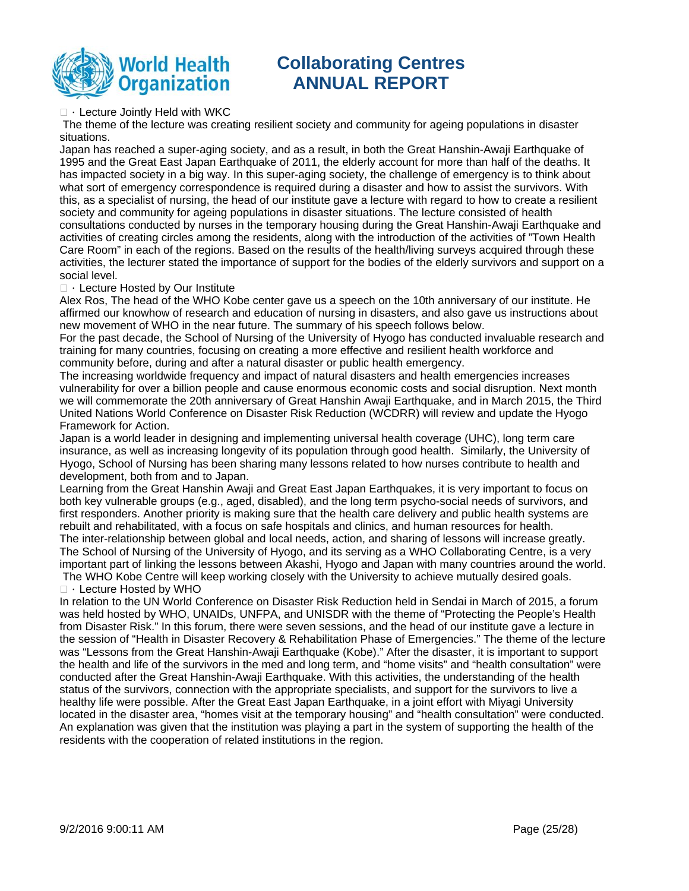

 $\Box$  · Lecture Jointly Held with WKC

 The theme of the lecture was creating resilient society and community for ageing populations in disaster situations.

Japan has reached a super-aging society, and as a result, in both the Great Hanshin-Awaji Earthquake of 1995 and the Great East Japan Earthquake of 2011, the elderly account for more than half of the deaths. It has impacted society in a big way. In this super-aging society, the challenge of emergency is to think about what sort of emergency correspondence is required during a disaster and how to assist the survivors. With this, as a specialist of nursing, the head of our institute gave a lecture with regard to how to create a resilient society and community for ageing populations in disaster situations. The lecture consisted of health consultations conducted by nurses in the temporary housing during the Great Hanshin-Awaji Earthquake and activities of creating circles among the residents, along with the introduction of the activities of "Town Health Care Room" in each of the regions. Based on the results of the health/living surveys acquired through these activities, the lecturer stated the importance of support for the bodies of the elderly survivors and support on a social level.

#### $\Box$   $\cdot$  Lecture Hosted by Our Institute

Alex Ros, The head of the WHO Kobe center gave us a speech on the 10th anniversary of our institute. He affirmed our knowhow of research and education of nursing in disasters, and also gave us instructions about new movement of WHO in the near future. The summary of his speech follows below.

For the past decade, the School of Nursing of the University of Hyogo has conducted invaluable research and training for many countries, focusing on creating a more effective and resilient health workforce and community before, during and after a natural disaster or public health emergency.

The increasing worldwide frequency and impact of natural disasters and health emergencies increases vulnerability for over a billion people and cause enormous economic costs and social disruption. Next month we will commemorate the 20th anniversary of Great Hanshin Awaji Earthquake, and in March 2015, the Third United Nations World Conference on Disaster Risk Reduction (WCDRR) will review and update the Hyogo Framework for Action.

Japan is a world leader in designing and implementing universal health coverage (UHC), long term care insurance, as well as increasing longevity of its population through good health. Similarly, the University of Hyogo, School of Nursing has been sharing many lessons related to how nurses contribute to health and development, both from and to Japan.

Learning from the Great Hanshin Awaji and Great East Japan Earthquakes, it is very important to focus on both key vulnerable groups (e.g., aged, disabled), and the long term psycho-social needs of survivors, and first responders. Another priority is making sure that the health care delivery and public health systems are rebuilt and rehabilitated, with a focus on safe hospitals and clinics, and human resources for health. The inter-relationship between global and local needs, action, and sharing of lessons will increase greatly. The School of Nursing of the University of Hyogo, and its serving as a WHO Collaborating Centre, is a very important part of linking the lessons between Akashi, Hyogo and Japan with many countries around the world.

 The WHO Kobe Centre will keep working closely with the University to achieve mutually desired goals.  $\Box$   $\cdot$  Lecture Hosted by WHO

In relation to the UN World Conference on Disaster Risk Reduction held in Sendai in March of 2015, a forum was held hosted by WHO, UNAIDs, UNFPA, and UNISDR with the theme of "Protecting the People's Health from Disaster Risk." In this forum, there were seven sessions, and the head of our institute gave a lecture in the session of "Health in Disaster Recovery & Rehabilitation Phase of Emergencies." The theme of the lecture was "Lessons from the Great Hanshin-Awaji Earthquake (Kobe)." After the disaster, it is important to support the health and life of the survivors in the med and long term, and "home visits" and "health consultation" were conducted after the Great Hanshin-Awaji Earthquake. With this activities, the understanding of the health status of the survivors, connection with the appropriate specialists, and support for the survivors to live a healthy life were possible. After the Great East Japan Earthquake, in a joint effort with Miyagi University located in the disaster area, "homes visit at the temporary housing" and "health consultation" were conducted. An explanation was given that the institution was playing a part in the system of supporting the health of the residents with the cooperation of related institutions in the region.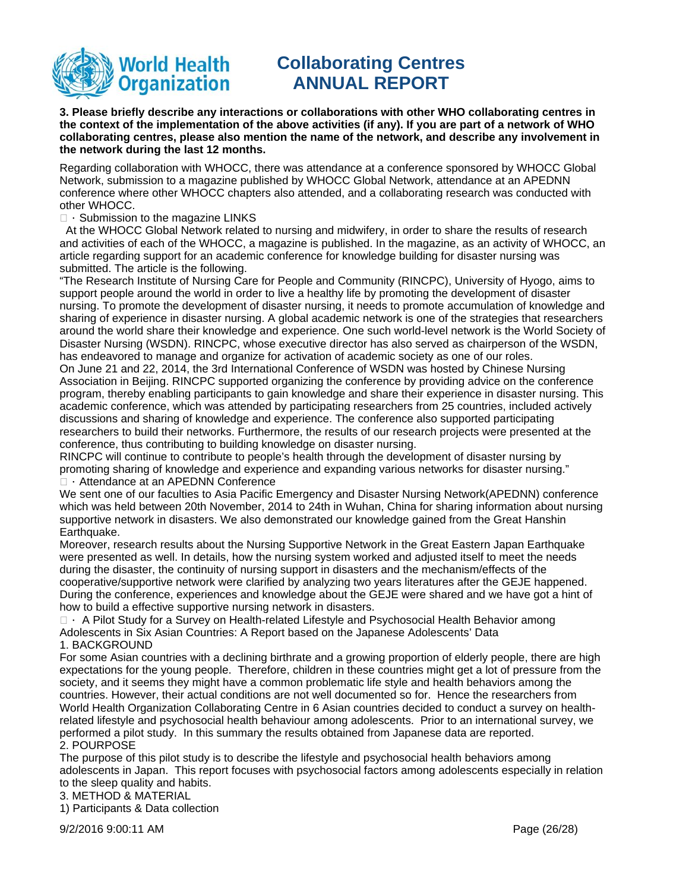

**3. Please briefly describe any interactions or collaborations with other WHO collaborating centres in the context of the implementation of the above activities (if any). If you are part of a network of WHO collaborating centres, please also mention the name of the network, and describe any involvement in the network during the last 12 months.** 

Regarding collaboration with WHOCC, there was attendance at a conference sponsored by WHOCC Global Network, submission to a magazine published by WHOCC Global Network, attendance at an APEDNN conference where other WHOCC chapters also attended, and a collaborating research was conducted with other WHOCC.

### $\Box$  Submission to the magazine LINKS

 At the WHOCC Global Network related to nursing and midwifery, in order to share the results of research and activities of each of the WHOCC, a magazine is published. In the magazine, as an activity of WHOCC, an article regarding support for an academic conference for knowledge building for disaster nursing was submitted. The article is the following.

"The Research Institute of Nursing Care for People and Community (RINCPC), University of Hyogo, aims to support people around the world in order to live a healthy life by promoting the development of disaster nursing. To promote the development of disaster nursing, it needs to promote accumulation of knowledge and sharing of experience in disaster nursing. A global academic network is one of the strategies that researchers around the world share their knowledge and experience. One such world-level network is the World Society of Disaster Nursing (WSDN). RINCPC, whose executive director has also served as chairperson of the WSDN, has endeavored to manage and organize for activation of academic society as one of our roles.

On June 21 and 22, 2014, the 3rd International Conference of WSDN was hosted by Chinese Nursing Association in Beijing. RINCPC supported organizing the conference by providing advice on the conference program, thereby enabling participants to gain knowledge and share their experience in disaster nursing. This academic conference, which was attended by participating researchers from 25 countries, included actively discussions and sharing of knowledge and experience. The conference also supported participating researchers to build their networks. Furthermore, the results of our research projects were presented at the conference, thus contributing to building knowledge on disaster nursing.

RINCPC will continue to contribute to people's health through the development of disaster nursing by promoting sharing of knowledge and experience and expanding various networks for disaster nursing." □ · Attendance at an APEDNN Conference

We sent one of our faculties to Asia Pacific Emergency and Disaster Nursing Network(APEDNN) conference which was held between 20th November, 2014 to 24th in Wuhan, China for sharing information about nursing supportive network in disasters. We also demonstrated our knowledge gained from the Great Hanshin Earthquake.

Moreover, research results about the Nursing Supportive Network in the Great Eastern Japan Earthquake were presented as well. In details, how the nursing system worked and adjusted itself to meet the needs during the disaster, the continuity of nursing support in disasters and the mechanism/effects of the cooperative/supportive network were clarified by analyzing two years literatures after the GEJE happened. During the conference, experiences and knowledge about the GEJE were shared and we have got a hint of how to build a effective supportive nursing network in disasters.

 $\Box$  A Pilot Study for a Survey on Health-related Lifestyle and Psychosocial Health Behavior among Adolescents in Six Asian Countries: A Report based on the Japanese Adolescents' Data 1. BACKGROUND

For some Asian countries with a declining birthrate and a growing proportion of elderly people, there are high expectations for the young people. Therefore, children in these countries might get a lot of pressure from the society, and it seems they might have a common problematic life style and health behaviors among the countries. However, their actual conditions are not well documented so for. Hence the researchers from World Health Organization Collaborating Centre in 6 Asian countries decided to conduct a survey on healthrelated lifestyle and psychosocial health behaviour among adolescents. Prior to an international survey, we performed a pilot study. In this summary the results obtained from Japanese data are reported. 2. POURPOSE

The purpose of this pilot study is to describe the lifestyle and psychosocial health behaviors among adolescents in Japan. This report focuses with psychosocial factors among adolescents especially in relation to the sleep quality and habits.

3. METHOD & MATERIAL

1) Participants & Data collection

9/2/2016 9:00:11 AM Page (26/28)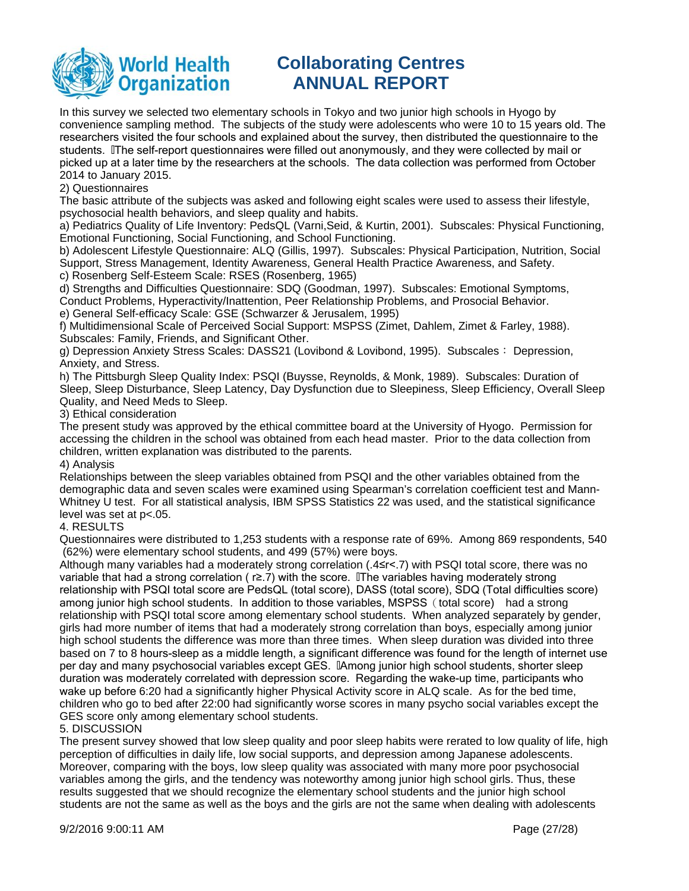

In this survey we selected two elementary schools in Tokyo and two junior high schools in Hyogo by convenience sampling method. The subjects of the study were adolescents who were 10 to 15 years old. The researchers visited the four schools and explained about the survey, then distributed the questionnaire to the students. IThe self-report questionnaires were filled out anonymously, and they were collected by mail or picked up at a later time by the researchers at the schools. The data collection was performed from October 2014 to January 2015.

### 2) Questionnaires

The basic attribute of the subjects was asked and following eight scales were used to assess their lifestyle, psychosocial health behaviors, and sleep quality and habits.

a) Pediatrics Quality of Life Inventory: PedsQL (Varni,Seid, & Kurtin, 2001). Subscales: Physical Functioning, Emotional Functioning, Social Functioning, and School Functioning.

b) Adolescent Lifestyle Questionnaire: ALQ (Gillis, 1997). Subscales: Physical Participation, Nutrition, Social Support, Stress Management, Identity Awareness, General Health Practice Awareness, and Safety. c) Rosenberg Self-Esteem Scale: RSES (Rosenberg, 1965)

d) Strengths and Difficulties Questionnaire: SDQ (Goodman, 1997). Subscales: Emotional Symptoms, Conduct Problems, Hyperactivity/Inattention, Peer Relationship Problems, and Prosocial Behavior. e) General Self-efficacy Scale: GSE (Schwarzer & Jerusalem, 1995)

f) Multidimensional Scale of Perceived Social Support: MSPSS (Zimet, Dahlem, Zimet & Farley, 1988). Subscales: Family, Friends, and Significant Other.

g) Depression Anxiety Stress Scales: DASS21 (Lovibond & Lovibond, 1995). Subscales : Depression, Anxiety, and Stress.

h) The Pittsburgh Sleep Quality Index: PSQI (Buysse, Reynolds, & Monk, 1989). Subscales: Duration of Sleep, Sleep Disturbance, Sleep Latency, Day Dysfunction due to Sleepiness, Sleep Efficiency, Overall Sleep Quality, and Need Meds to Sleep.

3) Ethical consideration

The present study was approved by the ethical committee board at the University of Hyogo. Permission for accessing the children in the school was obtained from each head master. Prior to the data collection from children, written explanation was distributed to the parents.

### 4) Analysis

Relationships between the sleep variables obtained from PSQI and the other variables obtained from the demographic data and seven scales were examined using Spearman's correlation coefficient test and Mann-Whitney U test. For all statistical analysis, IBM SPSS Statistics 22 was used, and the statistical significance level was set at p<.05.

### 4. RESULTS

Questionnaires were distributed to 1,253 students with a response rate of 69%. Among 869 respondents, 540 (62%) were elementary school students, and 499 (57%) were boys.

Although many variables had a moderately strong correlation (.4≤r<.7) with PSQI total score, there was no variable that had a strong correlation ( $r \ge 7$ ) with the score. The variables having moderately strong relationship with PSQI total score are PedsQL (total score), DASS (total score), SDQ (Total difficulties score) among junior high school students. In addition to those variables, MSPSS (total score) had a strong relationship with PSQI total score among elementary school students. When analyzed separately by gender, girls had more number of items that had a moderately strong correlation than boys, especially among junior high school students the difference was more than three times. When sleep duration was divided into three based on 7 to 8 hours-sleep as a middle length, a significant difference was found for the length of internet use per day and many psychosocial variables except GES. IlAmong junior high school students, shorter sleep duration was moderately correlated with depression score. Regarding the wake-up time, participants who wake up before 6:20 had a significantly higher Physical Activity score in ALQ scale. As for the bed time, children who go to bed after 22:00 had significantly worse scores in many psycho social variables except the GES score only among elementary school students.

### 5. DISCUSSION

The present survey showed that low sleep quality and poor sleep habits were rerated to low quality of life, high perception of difficulties in daily life, low social supports, and depression among Japanese adolescents. Moreover, comparing with the boys, low sleep quality was associated with many more poor psychosocial variables among the girls, and the tendency was noteworthy among junior high school girls. Thus, these results suggested that we should recognize the elementary school students and the junior high school students are not the same as well as the boys and the girls are not the same when dealing with adolescents